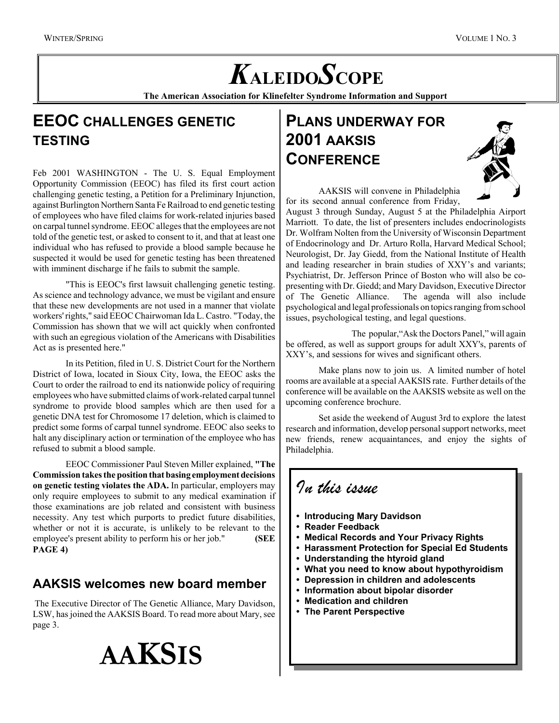# *K***ALEIDO***S***COPE**

 **The American Association for Klinefelter Syndrome Information and Support** 

# **EEOC CHALLENGES GENETIC TESTING**

Feb 2001 WASHINGTON - The U. S. Equal Employment Opportunity Commission (EEOC) has filed its first court action challenging genetic testing, a Petition for a Preliminary Injunction, against Burlington Northern Santa Fe Railroad to end genetic testing of employees who have filed claims for work-related injuries based on carpal tunnel syndrome. EEOC alleges that the employees are not told of the genetic test, or asked to consent to it, and that at least one individual who has refused to provide a blood sample because he suspected it would be used for genetic testing has been threatened with imminent discharge if he fails to submit the sample.

"This is EEOC's first lawsuit challenging genetic testing. As science and technology advance, we must be vigilant and ensure that these new developments are not used in a manner that violate workers' rights," said EEOC Chairwoman Ida L. Castro. "Today, the Commission has shown that we will act quickly when confronted with such an egregious violation of the Americans with Disabilities Act as is presented here."

In its Petition, filed in U. S. District Court for the Northern District of Iowa, located in Sioux City, Iowa, the EEOC asks the Court to order the railroad to end its nationwide policy of requiring employees who have submitted claims of work-related carpal tunnel syndrome to provide blood samples which are then used for a genetic DNA test for Chromosome 17 deletion, which is claimed to predict some forms of carpal tunnel syndrome. EEOC also seeks to halt any disciplinary action or termination of the employee who has refused to submit a blood sample.

EEOC Commissioner Paul Steven Miller explained, **"The Commission takes the position that basing employment decisions on genetic testing violates the ADA.** In particular, employers may only require employees to submit to any medical examination if those examinations are job related and consistent with business necessity. Any test which purports to predict future disabilities, whether or not it is accurate, is unlikely to be relevant to the employee's present ability to perform his or her job." **(SEE PAGE 4)**

### **AAKSIS welcomes new board member**

The Executive Director of The Genetic Alliance, Mary Davidson, LSW, has joined the AAKSIS Board. To read more about Mary, see page 3.

# **AAKSIS**

# **PLANS UNDERWAY FOR 2001 AAKSIS CONFERENCE**



AAKSIS will convene in Philadelphia for its second annual conference from Friday,

August 3 through Sunday, August 5 at the Philadelphia Airport Marriott. To date, the list of presenters includes endocrinologists Dr. Wolfram Nolten from the University of Wisconsin Department of Endocrinology and Dr. Arturo Rolla, Harvard Medical School; Neurologist, Dr. Jay Giedd, from the National Institute of Health and leading researcher in brain studies of XXY's and variants; Psychiatrist, Dr. Jefferson Prince of Boston who will also be copresenting with Dr. Giedd; and Mary Davidson, Executive Director of The Genetic Alliance. The agenda will also include psychological and legal professionals on topics ranging from school issues, psychological testing, and legal questions.

The popular,"Ask the Doctors Panel," will again be offered, as well as support groups for adult XXY's, parents of XXY's, and sessions for wives and significant others.

Make plans now to join us. A limited number of hotel rooms are available at a special AAKSIS rate. Further details of the conference will be available on the AAKSIS website as well on the upcoming conference brochure.

Set aside the weekend of August 3rd to explore the latest research and information, develop personal support networks, meet new friends, renew acquaintances, and enjoy the sights of Philadelphia.

# *In this issue*

- **Introducing Mary Davidson**
- **Reader Feedback**
- **Medical Records and Your Privacy Rights**
- **Harassment Protection for Special Ed Students**
- **Understanding the htyroid gland**
- **What you need to know about hypothyroidism**
- **Depression in children and adolescents**
- **Information about bipolar disorder**
- **Medication and children**
- **The Parent Perspective**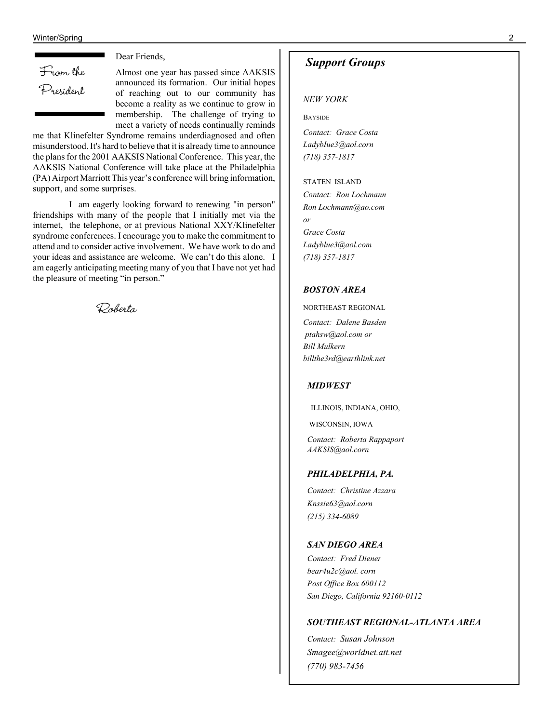From the

President

#### Dear Friends,

Almost one year has passed since AAKSIS announced its formation. Our initial hopes of reaching out to our community has become a reality as we continue to grow in membership. The challenge of trying to meet a variety of needs continually reminds

me that Klinefelter Syndrome remains underdiagnosed and often misunderstood. It's hard to believe that it is already time to announce the plans for the 2001 AAKSIS National Conference. This year, the AAKSIS National Conference will take place at the Philadelphia (PA) Airport Marriott This year's conference will bring information, support, and some surprises.

 I am eagerly looking forward to renewing "in person" friendships with many of the people that I initially met via the internet, the telephone, or at previous National XXY/Klinefelter syndrome conferences. I encourage you to make the commitment to attend and to consider active involvement. We have work to do and your ideas and assistance are welcome. We can't do this alone. I am eagerly anticipating meeting many of you that I have not yet had the pleasure of meeting "in person."

Roberta

### *Support Groups*

### *NEW YORK*

BAYSIDE

*Contact: Grace Costa LadybIue3@aol.corn (718) 357-1817*

STATEN ISLAND *Contact: Ron Lochmann Ron Lochmann@ao.com or Grace Costa Ladyblue3@aol.com (718) 357-1817*

### *BOSTON AREA*

#### NORTHEAST REGIONAL

*Contact: Dalene Basden ptahsw@aol.com or Bill Mulkern billthe3rd@earthlink.net*

### *MIDWEST*

ILLINOIS, INDIANA, OHIO,

WISCONSIN, IOWA

*Contact: Roberta Rappaport AAKSIS@aol.corn*

### *PHILADELPHIA, PA.*

*Contact: Christine Azzara Knssie63@aol.corn (215) 334-6089*

#### *SAN DIEGO AREA*

*Contact: Fred Diener bear4u2c@aol. corn Post Office Box 600112 San Diego, California 92160-0112*

### *SOUTHEAST REGIONAL-ATLANTA AREA*

*Contact: Susan Johnson Smagee@worldnet.att.net (770) 983-7456*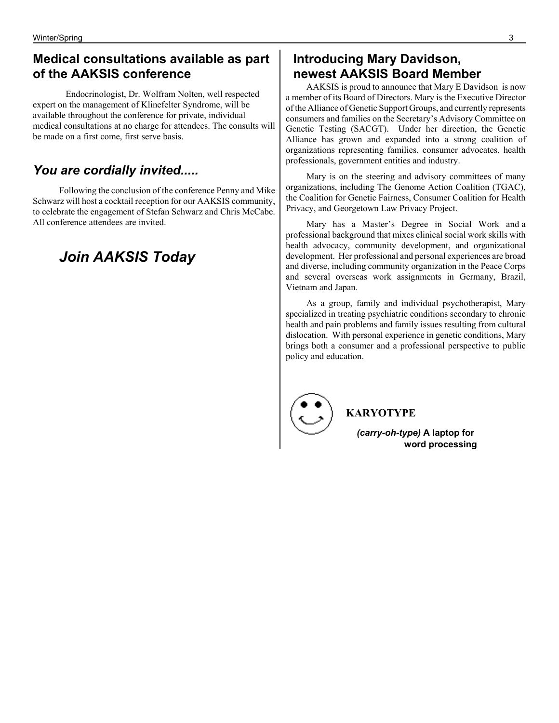### **Medical consultations available as part of the AAKSIS conference**

Endocrinologist, Dr. Wolfram Nolten, well respected expert on the management of Klinefelter Syndrome, will be available throughout the conference for private, individual medical consultations at no charge for attendees. The consults will be made on a first come, first serve basis.

### *You are cordially invited.....*

Following the conclusion of the conference Penny and Mike Schwarz will host a cocktail reception for our AAKSIS community, to celebrate the engagement of Stefan Schwarz and Chris McCabe. All conference attendees are invited.

## *Join AAKSIS Today*

### **Introducing Mary Davidson, newest AAKSIS Board Member**

AAKSIS is proud to announce that Mary E Davidson is now a member of its Board of Directors. Mary is the Executive Director of the Alliance of Genetic Support Groups, and currently represents consumers and families on the Secretary's Advisory Committee on Genetic Testing (SACGT). Under her direction, the Genetic Alliance has grown and expanded into a strong coalition of organizations representing families, consumer advocates, health professionals, government entities and industry.

Mary is on the steering and advisory committees of many organizations, including The Genome Action Coalition (TGAC), the Coalition for Genetic Fairness, Consumer Coalition for Health Privacy, and Georgetown Law Privacy Project.

 Mary has a Master's Degree in Social Work and a professional background that mixes clinical social work skills with health advocacy, community development, and organizational development. Her professional and personal experiences are broad and diverse, including community organization in the Peace Corps and several overseas work assignments in Germany, Brazil, Vietnam and Japan.

As a group, family and individual psychotherapist, Mary specialized in treating psychiatric conditions secondary to chronic health and pain problems and family issues resulting from cultural dislocation. With personal experience in genetic conditions, Mary brings both a consumer and a professional perspective to public policy and education.



### **KARYOTYPE**

*(carry-oh-type)* **A laptop for word processing**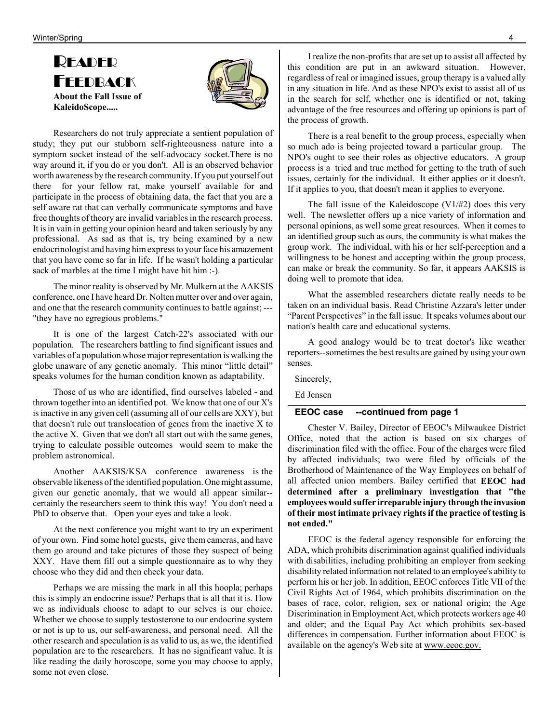



Researchers do not truly appreciate a sentient population of study; they put our stubborn self-righteousness nature into a symptom socket instead of the self-advocacy socket.There is no way around it, if you do or you don't. All is an observed behavior worth awareness by the research community. If you put yourself out there for your fellow rat, make yourself available for and participate in the process of obtaining data, the fact that you are a self aware rat that can verbally communicate symptoms and have free thoughts of theory are invalid variables in the research process. It is in vain in getting your opinion heard and taken seriously by any professional. As sad as that is, try being examined by a new endocrinologist and having him express to your face his amazement that you have come so far in life. If he wasn't holding a particular sack of marbles at the time I might have hit him :-).

 The minor reality is observed by Mr. Mulkern at the AAKSIS conference, one I have heard Dr. Nolten mutter over and over again, and one that the research community continues to battle against; --- "they have no egregious problems."

 It is one of the largest Catch-22's associated with our population. The researchers battling to find significant issues and variables of a population whose major representation is walking the globe unaware of any genetic anomaly. This minor "little detail" speaks volumes for the human condition known as adaptability.

 Those of us who are identified, find ourselves labeled - and thrown together into an identified pot. We know that one of our X's is inactive in any given cell (assuming all of our cells are XXY), but that doesn't rule out translocation of genes from the inactive X to the active X. Given that we don't all start out with the same genes, trying to calculate possible outcomes would seem to make the problem astronomical.

 Another AAKSIS/KSA conference awareness is the observable likeness of the identified population. One might assume, given our genetic anomaly, that we would all appear similar- certainly the researchers seem to think this way! You don't need a PhD to observe that. Open your eyes and take a look.

At the next conference you might want to try an experiment of your own. Find some hotel guests, give them cameras, and have them go around and take pictures of those they suspect of being XXY. Have them fill out a simple questionnaire as to why they choose who they did and then check your data.

 Perhaps we are missing the mark in all this hoopla; perhaps this is simply an endocrine issue? Perhaps that is all that it is. How we as individuals choose to adapt to our selves is our choice. Whether we choose to supply testosterone to our endocrine system or not is up to us, our self-awareness, and personal need. All the other research and speculation is as valid to us, as we, the identified population are to the researchers. It has no significant value. It is like reading the daily horoscope, some you may choose to apply, some not even close.

 I realize the non-profits that are set up to assist all affected by this condition are put in an awkward situation. However, regardless of real or imagined issues, group therapy is a valued ally in any situation in life. And as these NPO's exist to assist all of us in the search for self, whether one is identified or not, taking advantage of the free resources and offering up opinions is part of the process of growth.

 There is a real benefit to the group process, especially when so much ado is being projected toward a particular group. The NPO's ought to see their roles as objective educators. A group process is a tried and true method for getting to the truth of such issues, certainly for the individual. It either applies or it doesn't. If it applies to you, that doesn't mean it applies to everyone.

The fall issue of the Kaleidoscope  $(V1/\#2)$  does this very well. The newsletter offers up a nice variety of information and personal opinions, as well some great resources. When it comes to an identified group such as ours, the community is what makes the group work. The individual, with his or her self-perception and a willingness to be honest and accepting within the group process, can make or break the community. So far, it appears AAKSIS is doing well to promote that idea.

 What the assembled researchers dictate really needs to be taken on an individual basis. Read Christine Azzara's letter under "Parent Perspectives" in the fall issue. It speaks volumes about our nation's health care and educational systems.

A good analogy would be to treat doctor's like weather reporters--sometimes the best results are gained by using your own senses.

Sincerely,

Ed Jensen

### **EEOC case --continued from page 1**

Chester V. Bailey, Director of EEOC's Milwaukee District Office, noted that the action is based on six charges of discrimination filed with the office. Four of the charges were filed by affected individuals; two were filed by officials of the Brotherhood of Maintenance of the Way Employees on behalf of all affected union members. Bailey certified that **EEOC had determined after a preliminary investigation that "the employees would suffer irreparable injury through the invasion of their most intimate privacy rights if the practice of testing is not ended."**

EEOC is the federal agency responsible for enforcing the ADA, which prohibits discrimination against qualified individuals with disabilities, including prohibiting an employer from seeking disability related information not related to an employee's ability to perform his or her job. In addition, EEOC enforces Title VII of the Civil Rights Act of 1964, which prohibits discrimination on the bases of race, color, religion, sex or national origin; the Age Discrimination in Employment Act, which protects workers age 40 and older; and the Equal Pay Act which prohibits sex-based differences in compensation. Further information about EEOC is available on the agency's Web site at www.eeoc.gov.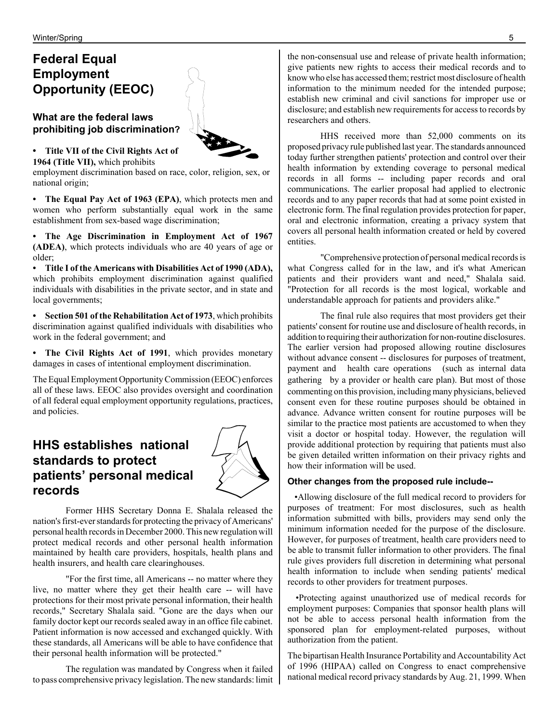### **Federal Equal Employment Opportunity (EEOC)**

### **What are the federal laws prohibiting job discrimination?**



### **• Title VII of the Civil Rights Act of 1964 (Title VII),** which prohibits

employment discrimination based on race, color, religion, sex, or national origin;

**• The Equal Pay Act of 1963 (EPA)**, which protects men and women who perform substantially equal work in the same establishment from sex-based wage discrimination;

**• The Age Discrimination in Employment Act of 1967 (ADEA)**, which protects individuals who are 40 years of age or older;

**• Title I of the Americans with Disabilities Act of 1990 (ADA),** which prohibits employment discrimination against qualified individuals with disabilities in the private sector, and in state and local governments;

**• Section 501 of the Rehabilitation Act of 1973**, which prohibits discrimination against qualified individuals with disabilities who work in the federal government; and

**• The Civil Rights Act of 1991**, which provides monetary damages in cases of intentional employment discrimination.

The Equal Employment Opportunity Commission (EEOC) enforces all of these laws. EEOC also provides oversight and coordination of all federal equal employment opportunity regulations, practices, and policies.

### **HHS establishes national standards to protect patients' personal medical records**



Former HHS Secretary Donna E. Shalala released the nation's first-ever standards for protecting the privacy of Americans' personal health records in December 2000. This new regulation will protect medical records and other personal health information maintained by health care providers, hospitals, health plans and health insurers, and health care clearinghouses.

"For the first time, all Americans -- no matter where they live, no matter where they get their health care -- will have protections for their most private personal information, their health records," Secretary Shalala said. "Gone are the days when our family doctor kept our records sealed away in an office file cabinet. Patient information is now accessed and exchanged quickly. With these standards, all Americans will be able to have confidence that their personal health information will be protected."

The regulation was mandated by Congress when it failed to pass comprehensive privacy legislation. The new standards: limit the non-consensual use and release of private health information; give patients new rights to access their medical records and to know who else has accessed them; restrict most disclosure of health information to the minimum needed for the intended purpose; establish new criminal and civil sanctions for improper use or disclosure; and establish new requirements for access to records by researchers and others.

HHS received more than 52,000 comments on its proposed privacy rule published last year. The standards announced today further strengthen patients' protection and control over their health information by extending coverage to personal medical records in all forms -- including paper records and oral communications. The earlier proposal had applied to electronic records and to any paper records that had at some point existed in electronic form. The final regulation provides protection for paper, oral and electronic information, creating a privacy system that covers all personal health information created or held by covered entities.

"Comprehensive protection of personal medical records is what Congress called for in the law, and it's what American patients and their providers want and need," Shalala said. "Protection for all records is the most logical, workable and understandable approach for patients and providers alike."

The final rule also requires that most providers get their patients' consent for routine use and disclosure of health records, in addition to requiring their authorization for non-routine disclosures. The earlier version had proposed allowing routine disclosures without advance consent -- disclosures for purposes of treatment, payment and health care operations (such as internal data gathering by a provider or health care plan). But most of those commenting on this provision, including many physicians, believed consent even for these routine purposes should be obtained in advance. Advance written consent for routine purposes will be similar to the practice most patients are accustomed to when they visit a doctor or hospital today. However, the regulation will provide additional protection by requiring that patients must also be given detailed written information on their privacy rights and how their information will be used.

### **Other changes from the proposed rule include--**

 •Allowing disclosure of the full medical record to providers for purposes of treatment: For most disclosures, such as health information submitted with bills, providers may send only the minimum information needed for the purpose of the disclosure. However, for purposes of treatment, health care providers need to be able to transmit fuller information to other providers. The final rule gives providers full discretion in determining what personal health information to include when sending patients' medical records to other providers for treatment purposes.

•Protecting against unauthorized use of medical records for employment purposes: Companies that sponsor health plans will not be able to access personal health information from the sponsored plan for employment-related purposes, without authorization from the patient.

The bipartisan Health Insurance Portability and Accountability Act of 1996 (HIPAA) called on Congress to enact comprehensive national medical record privacy standards by Aug. 21, 1999. When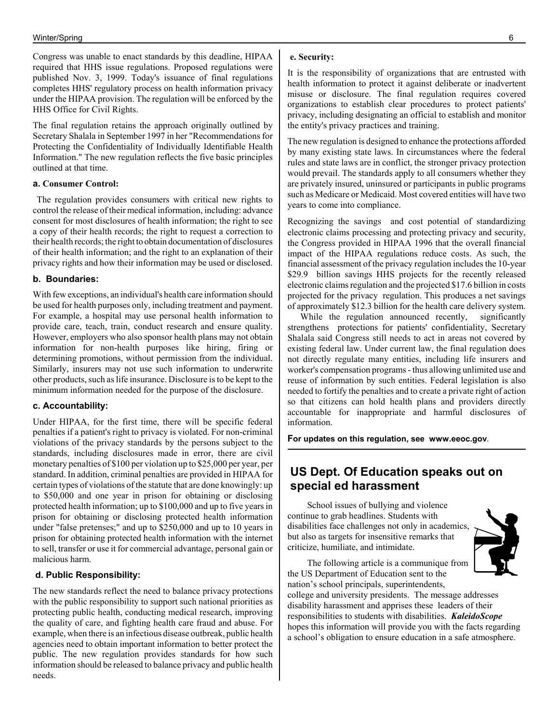#### Winter/Spring 6

Congress was unable to enact standards by this deadline, HIPAA required that HHS issue regulations. Proposed regulations were published Nov. 3, 1999. Today's issuance of final regulations completes HHS' regulatory process on health information privacy under the HIPAA provision. The regulation will be enforced by the HHS Office for Civil Rights.

The final regulation retains the approach originally outlined by Secretary Shalala in September 1997 in her "Recommendations for Protecting the Confidentiality of Individually Identifiable Health Information." The new regulation reflects the five basic principles outlined at that time.

### **a. Consumer Control:**

The regulation provides consumers with critical new rights to control the release of their medical information, including: advance consent for most disclosures of health information; the right to see a copy of their health records; the right to request a correction to their health records; the right to obtain documentation of disclosures of their health information; and the right to an explanation of their privacy rights and how their information may be used or disclosed.

#### **b. Boundaries:**

With few exceptions, an individual's health care information should be used for health purposes only, including treatment and payment. For example, a hospital may use personal health information to provide care, teach, train, conduct research and ensure quality. However, employers who also sponsor health plans may not obtain information for non-health purposes like hiring, firing or determining promotions, without permission from the individual. Similarly, insurers may not use such information to underwrite other products, such as life insurance. Disclosure is to be kept to the minimum information needed for the purpose of the disclosure.

### **c. Accountability:**

Under HIPAA, for the first time, there will be specific federal penalties if a patient's right to privacy is violated. For non-criminal violations of the privacy standards by the persons subject to the standards, including disclosures made in error, there are civil monetary penalties of \$100 per violation up to \$25,000 per year, per standard. In addition, criminal penalties are provided in HIPAA for certain types of violations of the statute that are done knowingly: up to \$50,000 and one year in prison for obtaining or disclosing protected health information; up to \$100,000 and up to five years in prison for obtaining or disclosing protected health information under "false pretenses;" and up to \$250,000 and up to 10 years in prison for obtaining protected health information with the internet to sell, transfer or use it for commercial advantage, personal gain or malicious harm.

### **d. Public Responsibility:**

The new standards reflect the need to balance privacy protections with the public responsibility to support such national priorities as protecting public health, conducting medical research, improving the quality of care, and fighting health care fraud and abuse. For example, when there is an infectious disease outbreak, public health agencies need to obtain important information to better protect the public. The new regulation provides standards for how such information should be released to balance privacy and public health needs.

#### **e. Security:**

It is the responsibility of organizations that are entrusted with health information to protect it against deliberate or inadvertent misuse or disclosure. The final regulation requires covered organizations to establish clear procedures to protect patients' privacy, including designating an official to establish and monitor the entity's privacy practices and training.

The new regulation is designed to enhance the protections afforded by many existing state laws. In circumstances where the federal rules and state laws are in conflict, the stronger privacy protection would prevail. The standards apply to all consumers whether they are privately insured, uninsured or participants in public programs such as Medicare or Medicaid. Most covered entities will have two years to come into compliance.

Recognizing the savings and cost potential of standardizing electronic claims processing and protecting privacy and security, the Congress provided in HIPAA 1996 that the overall financial impact of the HIPAA regulations reduce costs. As such, the financial assessment of the privacy regulation includes the 10-year \$29.9 billion savings HHS projects for the recently released electronic claims regulation and the projected \$17.6 billion in costs projected for the privacy regulation. This produces a net savings of approximately \$12.3 billion for the health care delivery system.

 While the regulation announced recently, significantly strengthens protections for patients' confidentiality, Secretary Shalala said Congress still needs to act in areas not covered by existing federal law. Under current law, the final regulation does not directly regulate many entities, including life insurers and worker's compensation programs - thus allowing unlimited use and reuse of information by such entities. Federal legislation is also needed to fortify the penalties and to create a private right of action so that citizens can hold health plans and providers directly accountable for inappropriate and harmful disclosures of information.

**For updates on this regulation, see www.eeoc.gov**.

### **US Dept. Of Education speaks out on special ed harassment**

School issues of bullying and violence continue to grab headlines. Students with disabilities face challenges not only in academics, but also as targets for insensitive remarks that criticize, humiliate, and intimidate.



The following article is a communique from the US Department of Education sent to the nation's school principals, superintendents,

college and university presidents. The message addresses disability harassment and apprises these leaders of their responsibilities to students with disabilities. *KaleidoScope* hopes this information will provide you with the facts regarding a school's obligation to ensure education in a safe atmosphere.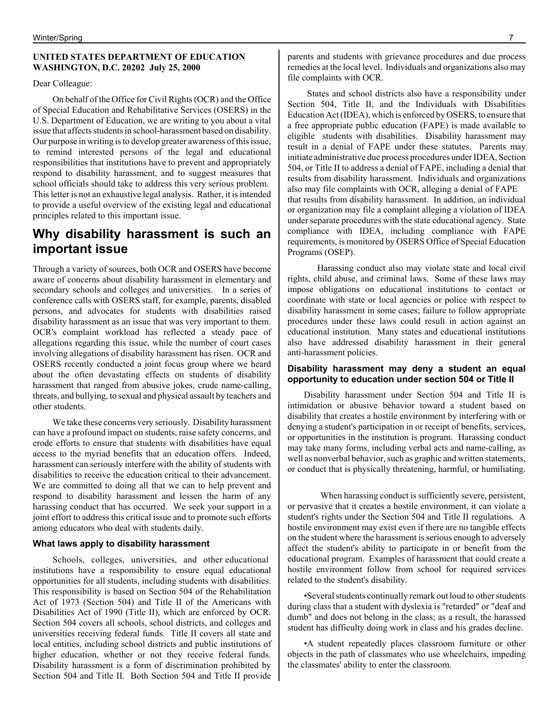### **UNITED STATES DEPARTMENT OF EDUCATION WASHINGTON, D.C. 20202 July 25, 2000**

#### Dear Colleague:

On behalf of the Office for Civil Rights (OCR) and the Office of Special Education and Rehabilitative Services (OSERS) in the U.S. Department of Education, we are writing to you about a vital issue that affects students in school-harassment based on disability. Our purpose in writing is to develop greater awareness of this issue, to remind interested persons of the legal and educational responsibilities that institutions have to prevent and appropriately respond to disability harassment, and to suggest measures that school officials should take to address this very serious problem. This letter is not an exhaustive legal analysis. Rather, it is intended to provide a useful overview of the existing legal and educational principles related to this important issue.

### **Why disability harassment is such an important issue**

Through a variety of sources, both OCR and OSERS have become aware of concerns about disability harassment in elementary and secondary schools and colleges and universities. In a series of conference calls with OSERS staff, for example, parents, disabled persons, and advocates for students with disabilities raised disability harassment as an issue that was very important to them. OCR's complaint workload has reflected a steady pace of allegations regarding this issue, while the number of court cases involving allegations of disability harassment has risen. OCR and OSERS recently conducted a joint focus group where we heard about the often devastating effects on students of disability harassment that ranged from abusive jokes, crude name-calling, threats, and bullying, to sexual and physical assault by teachers and other students.

We take these concerns very seriously. Disability harassment can have a profound impact on students, raise safety concerns, and erode efforts to ensure that students with disabilities have equal access to the myriad benefits that an education offers. Indeed, harassment can seriously interfere with the ability of students with disabilities to receive the education critical to their advancement. We are committed to doing all that we can to help prevent and respond to disability harassment and lessen the harm of any harassing conduct that has occurred. We seek your support in a joint effort to address this critical issue and to promote such efforts among educators who deal with students daily.

#### **What laws apply to disability harassment**

 Schools, colleges, universities, and other educational institutions have a responsibility to ensure equal educational opportunities for all students, including students with disabilities. This responsibility is based on Section 504 of the Rehabilitation Act of 1973 (Section 504) and Title II of the Americans with Disabilities Act of 1990 (Title II), which are enforced by OCR. Section 504 covers all schools, school districts, and colleges and universities receiving federal funds. Title II covers all state and local entities, including school districts and public institutions of higher education, whether or not they receive federal funds. Disability harassment is a form of discrimination prohibited by Section 504 and Title II. Both Section 504 and Title II provide parents and students with grievance procedures and due process remedies at the local level. Individuals and organizations also may file complaints with OCR.

States and school districts also have a responsibility under Section 504, Title II, and the Individuals with Disabilities Education Act (IDEA), which is enforced by OSERS, to ensure that a free appropriate public education (FAPE) is made available to eligible students with disabilities. Disability harassment may result in a denial of FAPE under these statutes. Parents may initiate administrative due process procedures under IDEA, Section 504, or Title II to address a denial of FAPE, including a denial that results from disability harassment. Individuals and organizations also may file complaints with OCR, alleging a denial of FAPE that results from disability harassment. In addition, an individual or organization may file a complaint alleging a violation of IDEA under separate procedures with the state educational agency. State compliance with IDEA, including compliance with FAPE requirements, is monitored by OSERS Office of Special Education Programs (OSEP).

 Harassing conduct also may violate state and local civil rights, child abuse, and criminal laws. Some of these laws may impose obligations on educational institutions to contact or coordinate with state or local agencies or police with respect to disability harassment in some cases; failure to follow appropriate procedures under these laws could result in action against an educational institution. Many states and educational institutions also have addressed disability harassment in their general anti-harassment policies.

### **Disability harassment may deny a student an equal opportunity to education under section 504 or Title II**

Disability harassment under Section 504 and Title II is intimidation or abusive behavior toward a student based on disability that creates a hostile environment by interfering with or denying a student's participation in or receipt of benefits, services, or opportunities in the institution ís program. Harassing conduct may take many forms, including verbal acts and name-calling, as well as nonverbal behavior, such as graphic and written statements, or conduct that is physically threatening, harmful, or humiliating.

When harassing conduct is sufficiently severe, persistent, or pervasive that it creates a hostile environment, it can violate a student's rights under the Section 504 and Title II regulations. A hostile environment may exist even if there are no tangible effects on the student where the harassment is serious enough to adversely affect the student's ability to participate in or benefit from the educational program. Examples of harassment that could create a hostile environment follow from school for required services related to the student's disability.

•Several students continually remark out loud to other students during class that a student with dyslexia is "retarded" or "deaf and dumb" and does not belong in the class; as a result, the harassed student has difficulty doing work in class and his grades decline.

•A student repeatedly places classroom furniture or other objects in the path of classmates who use wheelchairs, impeding the classmates' ability to enter the classroom.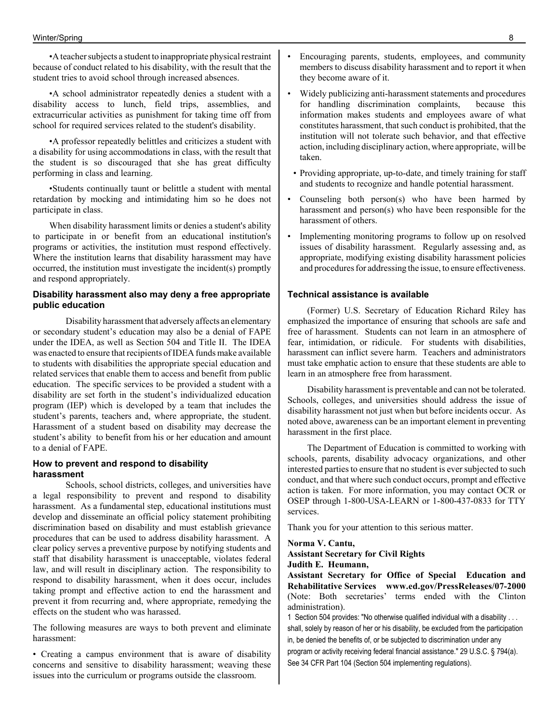•A teacher subjects a student to inappropriate physical restraint because of conduct related to his disability, with the result that the student tries to avoid school through increased absences.

•A school administrator repeatedly denies a student with a disability access to lunch, field trips, assemblies, and extracurricular activities as punishment for taking time off from school for required services related to the student's disability.

•A professor repeatedly belittles and criticizes a student with a disability for using accommodations in class, with the result that the student is so discouraged that she has great difficulty performing in class and learning.

•Students continually taunt or belittle a student with mental retardation by mocking and intimidating him so he does not participate in class.

When disability harassment limits or denies a student's ability to participate in or benefit from an educational institution's programs or activities, the institution must respond effectively. Where the institution learns that disability harassment may have occurred, the institution must investigate the incident(s) promptly and respond appropriately.

### **Disability harassment also may deny a free appropriate public education**

Disability harassment that adversely affects an elementary or secondary student's education may also be a denial of FAPE under the IDEA, as well as Section 504 and Title II. The IDEA was enacted to ensure that recipients of IDEA funds make available to students with disabilities the appropriate special education and related services that enable them to access and benefit from public education. The specific services to be provided a student with a disability are set forth in the student's individualized education program (IEP) which is developed by a team that includes the student's parents, teachers and, where appropriate, the student. Harassment of a student based on disability may decrease the student's ability to benefit from his or her education and amount to a denial of FAPE.

### **How to prevent and respond to disability harassment**

Schools, school districts, colleges, and universities have a legal responsibility to prevent and respond to disability harassment. As a fundamental step, educational institutions must develop and disseminate an official policy statement prohibiting discrimination based on disability and must establish grievance procedures that can be used to address disability harassment. A clear policy serves a preventive purpose by notifying students and staff that disability harassment is unacceptable, violates federal law, and will result in disciplinary action. The responsibility to respond to disability harassment, when it does occur, includes taking prompt and effective action to end the harassment and prevent it from recurring and, where appropriate, remedying the effects on the student who was harassed.

The following measures are ways to both prevent and eliminate harassment:

• Creating a campus environment that is aware of disability concerns and sensitive to disability harassment; weaving these issues into the curriculum or programs outside the classroom.

- Encouraging parents, students, employees, and community members to discuss disability harassment and to report it when they become aware of it.
- Widely publicizing anti-harassment statements and procedures for handling discrimination complaints, because this information makes students and employees aware of what constitutes harassment, that such conduct is prohibited, that the institution will not tolerate such behavior, and that effective action, including disciplinary action, where appropriate, will be taken.
- Providing appropriate, up-to-date, and timely training for staff and students to recognize and handle potential harassment.
- Counseling both person(s) who have been harmed by harassment and person(s) who have been responsible for the harassment of others.
- Implementing monitoring programs to follow up on resolved issues of disability harassment. Regularly assessing and, as appropriate, modifying existing disability harassment policies and procedures for addressing the issue, to ensure effectiveness.

### **Technical assistance is available**

(Former) U.S. Secretary of Education Richard Riley has emphasized the importance of ensuring that schools are safe and free of harassment. Students can not learn in an atmosphere of fear, intimidation, or ridicule. For students with disabilities, harassment can inflict severe harm. Teachers and administrators must take emphatic action to ensure that these students are able to learn in an atmosphere free from harassment.

Disability harassment is preventable and can not be tolerated. Schools, colleges, and universities should address the issue of disability harassment not just when but before incidents occur. As noted above, awareness can be an important element in preventing harassment in the first place.

The Department of Education is committed to working with schools, parents, disability advocacy organizations, and other interested parties to ensure that no student is ever subjected to such conduct, and that where such conduct occurs, prompt and effective action is taken. For more information, you may contact OCR or OSEP through 1-800-USA-LEARN or 1-800-437-0833 for TTY services.

Thank you for your attention to this serious matter.

#### **Norma V. Cantu,**

**Assistant Secretary for Civil Rights Judith E. Heumann,** 

**Assistant Secretary for Office of Special Education and Rehabilitative Services www.ed.gov/PressReleases/07-2000** (Note: Both secretaries' terms ended with the Clinton administration).

1 Section 504 provides: "No otherwise qualified individual with a disability . . .

shall, solely by reason of her or his disability, be excluded from the participation in, be denied the benefits of, or be subjected to discrimination under any

program or activity receiving federal financial assistance." 29 U.S.C. § 794(a). See 34 CFR Part 104 (Section 504 implementing regulations).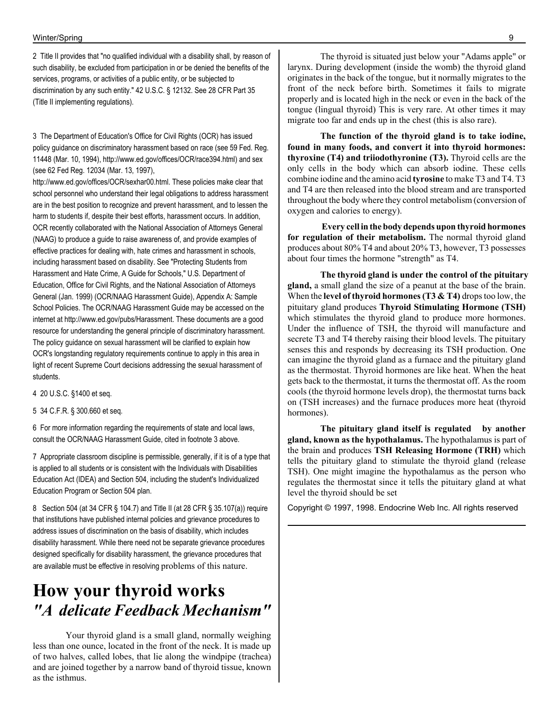#### Winter/Spring 9

2 Title II provides that "no qualified individual with a disability shall, by reason of such disability, be excluded from participation in or be denied the benefits of the services, programs, or activities of a public entity, or be subjected to discrimination by any such entity." 42 U.S.C. § 12132. See 28 CFR Part 35 (Title II implementing regulations).

3 The Department of Education's Office for Civil Rights (OCR) has issued policy guidance on discriminatory harassment based on race (see 59 Fed. Reg. 11448 (Mar. 10, 1994), http://www.ed.gov/offices/OCR/race394.html) and sex (see 62 Fed Reg. 12034 (Mar. 13, 1997),

http://www.ed.gov/offices/OCR/sexhar00.html. These policies make clear that school personnel who understand their legal obligations to address harassment are in the best position to recognize and prevent harassment, and to lessen the harm to students if, despite their best efforts, harassment occurs. In addition, OCR recently collaborated with the National Association of Attorneys General (NAAG) to produce a guide to raise awareness of, and provide examples of effective practices for dealing with, hate crimes and harassment in schools, including harassment based on disability. See "Protecting Students from Harassment and Hate Crime, A Guide for Schools," U.S. Department of Education, Office for Civil Rights, and the National Association of Attorneys General (Jan. 1999) (OCR/NAAG Harassment Guide), Appendix A: Sample School Policies. The OCR/NAAG Harassment Guide may be accessed on the internet at http://www.ed.gov/pubs/Harassment. These documents are a good resource for understanding the general principle of discriminatory harassment. The policy guidance on sexual harassment will be clarified to explain how OCR's longstanding regulatory requirements continue to apply in this area in light of recent Supreme Court decisions addressing the sexual harassment of students.

4 20 U.S.C. §1400 et seq.

5 34 C.F.R. § 300.660 et seq.

6 For more information regarding the requirements of state and local laws, consult the OCR/NAAG Harassment Guide, cited in footnote 3 above.

7 Appropriate classroom discipline is permissible, generally, if it is of a type that is applied to all students or is consistent with the Individuals with Disabilities Education Act (IDEA) and Section 504, including the student's Individualized Education Program or Section 504 plan.

8 Section 504 (at 34 CFR § 104.7) and Title II (at 28 CFR § 35.107(a)) require that institutions have published internal policies and grievance procedures to address issues of discrimination on the basis of disability, which includes disability harassment. While there need not be separate grievance procedures designed specifically for disability harassment, the grievance procedures that are available must be effective in resolving problems of this nature.

# **How your thyroid works**  *"A delicate Feedback Mechanism"*

Your thyroid gland is a small gland, normally weighing less than one ounce, located in the front of the neck. It is made up of two halves, called lobes, that lie along the windpipe (trachea) and are joined together by a narrow band of thyroid tissue, known as the isthmus.

The thyroid is situated just below your "Adams apple" or larynx. During development (inside the womb) the thyroid gland originates in the back of the tongue, but it normally migrates to the front of the neck before birth. Sometimes it fails to migrate properly and is located high in the neck or even in the back of the tongue (lingual thyroid) This is very rare. At other times it may migrate too far and ends up in the chest (this is also rare).

**The function of the thyroid gland is to take iodine, found in many foods, and convert it into thyroid hormones: thyroxine (T4) and triiodothyronine (T3).** Thyroid cells are the only cells in the body which can absorb iodine. These cells combine iodine and the amino acid **tyrosine** to make T3 and T4. T3 and T4 are then released into the blood stream and are transported throughout the body where they control metabolism (conversion of oxygen and calories to energy).

**Every cell in the body depends upon thyroid hormones for regulation of their metabolism.** The normal thyroid gland produces about 80% T4 and about 20% T3, however, T3 possesses about four times the hormone "strength" as T4.

 **The thyroid gland is under the control of the pituitary gland,** a small gland the size of a peanut at the base of the brain. When the **level of thyroid hormones (T3 & T4)** drops too low, the pituitary gland produces **Thyroid Stimulating Hormone (TSH)** which stimulates the thyroid gland to produce more hormones. Under the influence of TSH, the thyroid will manufacture and secrete T3 and T4 thereby raising their blood levels. The pituitary senses this and responds by decreasing its TSH production. One can imagine the thyroid gland as a furnace and the pituitary gland as the thermostat. Thyroid hormones are like heat. When the heat gets back to the thermostat, it turns the thermostat off. As the room cools (the thyroid hormone levels drop), the thermostat turns back on (TSH increases) and the furnace produces more heat (thyroid hormones).

**The pituitary gland itself is regulated by another gland, known as the hypothalamus.** The hypothalamus is part of the brain and produces **TSH Releasing Hormone (TRH)** which tells the pituitary gland to stimulate the thyroid gland (release TSH). One might imagine the hypothalamus as the person who regulates the thermostat since it tells the pituitary gland at what level the thyroid should be set

Copyright © 1997, 1998. Endocrine Web Inc. All rights reserved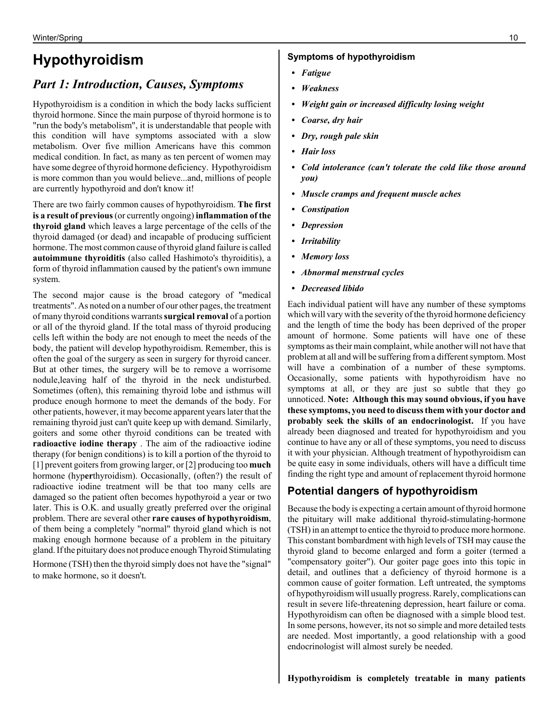## **Hypothyroidism**

### *Part 1: Introduction, Causes, Symptoms*

Hypothyroidism is a condition in which the body lacks sufficient thyroid hormone. Since the main purpose of thyroid hormone is to "run the body's metabolism", it is understandable that people with this condition will have symptoms associated with a slow metabolism. Over five million Americans have this common medical condition. In fact, as many as ten percent of women may have some degree of thyroid hormone deficiency. Hypothyroidism is more common than you would believe...and, millions of people are currently hypothyroid and don't know it!

There are two fairly common causes of hypothyroidism. **The first is a result of previous** (or currently ongoing) **inflammation of the thyroid gland** which leaves a large percentage of the cells of the thyroid damaged (or dead) and incapable of producing sufficient hormone. The most common cause of thyroid gland failure is called **autoimmune thyroiditis** (also called Hashimoto's thyroiditis), a form of thyroid inflammation caused by the patient's own immune system.

The second major cause is the broad category of "medical treatments". As noted on a number of our other pages, the treatment of many thyroid conditions warrants **surgical removal** of a portion or all of the thyroid gland. If the total mass of thyroid producing cells left within the body are not enough to meet the needs of the body, the patient will develop hypothyroidism. Remember, this is often the goal of the surgery as seen in surgery for thyroid cancer. But at other times, the surgery will be to remove a worrisome nodule,leaving half of the thyroid in the neck undisturbed. Sometimes (often), this remaining thyroid lobe and isthmus will produce enough hormone to meet the demands of the body. For other patients, however, it may become apparent years later that the remaining thyroid just can't quite keep up with demand. Similarly, goiters and some other thyroid conditions can be treated with **radioactive iodine therapy** . The aim of the radioactive iodine therapy (for benign conditions) is to kill a portion of the thyroid to [1] prevent goiters from growing larger, or [2] producing too **much** hormone (hyp**er**thyroidism). Occasionally, (often?) the result of radioactive iodine treatment will be that too many cells are damaged so the patient often becomes hypothyroid a year or two later. This is O.K. and usually greatly preferred over the original problem. There are several other **rare causes of hypothyroidism**, of them being a completely "normal" thyroid gland which is not making enough hormone because of a problem in the pituitary gland. If the pituitary does not produce enough Thyroid Stimulating Hormone (TSH) then the thyroid simply does not have the "signal"

to make hormone, so it doesn't.

### **Symptoms of hypothyroidism**

- *Fatigue*
- *Weakness*
- *Weight gain or increased difficulty losing weight*
- *Coarse, dry hair*
- *Dry, rough pale skin*
- *Hair loss*
- *Cold intolerance (can't tolerate the cold like those around you)*
- *Muscle cramps and frequent muscle aches*
- *Constipation*
- *Depression*
- *Irritability*
- *Memory loss*
- *Abnormal menstrual cycles*
- *Decreased libido*

Each individual patient will have any number of these symptoms which will vary with the severity of the thyroid hormone deficiency and the length of time the body has been deprived of the proper amount of hormone. Some patients will have one of these symptoms as their main complaint, while another will not have that problem at all and will be suffering from a different symptom. Most will have a combination of a number of these symptoms. Occasionally, some patients with hypothyroidism have no symptoms at all, or they are just so subtle that they go unnoticed. **Note: Although this may sound obvious, if you have these symptoms, you need to discuss them with your doctor and probably seek the skills of an endocrinologist.** If you have already been diagnosed and treated for hypothyroidism and you continue to have any or all of these symptoms, you need to discuss it with your physician. Although treatment of hypothyroidism can be quite easy in some individuals, others will have a difficult time finding the right type and amount of replacement thyroid hormone

### **Potential dangers of hypothyroidism**

Because the body is expecting a certain amount of thyroid hormone the pituitary will make additional thyroid-stimulating-hormone (TSH) in an attempt to entice the thyroid to produce more hormone. This constant bombardment with high levels of TSH may cause the thyroid gland to become enlarged and form a goiter (termed a "compensatory goiter"). Our goiter page goes into this topic in detail, and outlines that a deficiency of thyroid hormone is a common cause of goiter formation. Left untreated, the symptoms of hypothyroidism will usually progress. Rarely, complications can result in severe life-threatening depression, heart failure or coma. Hypothyroidism can often be diagnosed with a simple blood test. In some persons, however, its not so simple and more detailed tests are needed. Most importantly, a good relationship with a good endocrinologist will almost surely be needed.

**Hypothyroidism is completely treatable in many patients**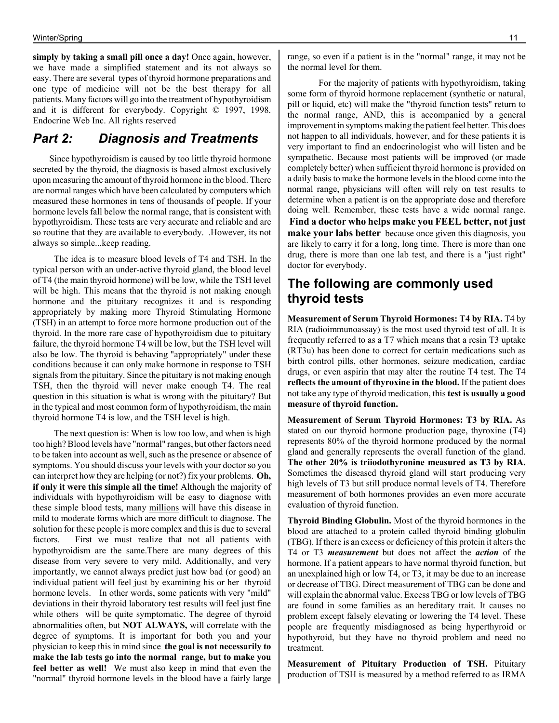**simply by taking a small pill once a day!** Once again, however, we have made a simplified statement and its not always so easy. There are several types of thyroid hormone preparations and one type of medicine will not be the best therapy for all patients. Many factors will go into the treatment of hypothyroidism and it is different for everybody. Copyright © 1997, 1998. Endocrine Web Inc. All rights reserved

### *Part 2: Diagnosis and Treatments*

Since hypothyroidism is caused by too little thyroid hormone secreted by the thyroid, the diagnosis is based almost exclusively upon measuring the amount of thyroid hormone in the blood. There are normal ranges which have been calculated by computers which measured these hormones in tens of thousands of people. If your hormone levels fall below the normal range, that is consistent with hypothyroidism. These tests are very accurate and reliable and are so routine that they are available to everybody. .However, its not always so simple...keep reading.

The idea is to measure blood levels of T4 and TSH. In the typical person with an under-active thyroid gland, the blood level of T4 (the main thyroid hormone) will be low, while the TSH level will be high. This means that the thyroid is not making enough hormone and the pituitary recognizes it and is responding appropriately by making more Thyroid Stimulating Hormone (TSH) in an attempt to force more hormone production out of the thyroid. In the more rare case of hypothyroidism due to pituitary failure, the thyroid hormone T4 will be low, but the TSH level will also be low. The thyroid is behaving "appropriately" under these conditions because it can only make hormone in response to TSH signals from the pituitary. Since the pituitary is not making enough TSH, then the thyroid will never make enough T4. The real question in this situation is what is wrong with the pituitary? But in the typical and most common form of hypothyroidism, the main thyroid hormone T4 is low, and the TSH level is high.

The next question is: When is low too low, and when is high too high? Blood levels have "normal" ranges, but other factors need to be taken into account as well, such as the presence or absence of symptoms. You should discuss your levels with your doctor so you can interpret how they are helping (or not?) fix your problems. **Oh, if only it were this simple all the time!** Although the majority of individuals with hypothyroidism will be easy to diagnose with these simple blood tests, many millions will have this disease in mild to moderate forms which are more difficult to diagnose. The solution for these people is more complex and this is due to several factors. First we must realize that not all patients with hypothyroidism are the same.There are many degrees of this disease from very severe to very mild. Additionally, and very importantly, we cannot always predict just how bad (or good) an individual patient will feel just by examining his or her thyroid hormone levels. In other words, some patients with very "mild" deviations in their thyroid laboratory test results will feel just fine while others will be quite symptomatic. The degree of thyroid abnormalities often, but **NOT ALWAYS,** will correlate with the degree of symptoms. It is important for both you and your physician to keep this in mind since **the goal is not necessarily to make the lab tests go into the normal range, but to make you feel better as well!** We must also keep in mind that even the "normal" thyroid hormone levels in the blood have a fairly large range, so even if a patient is in the "normal" range, it may not be the normal level for them.

For the majority of patients with hypothyroidism, taking some form of thyroid hormone replacement (synthetic or natural, pill or liquid, etc) will make the "thyroid function tests" return to the normal range, AND, this is accompanied by a general improvement in symptoms making the patient feel better. This does not happen to all individuals, however, and for these patients it is very important to find an endocrinologist who will listen and be sympathetic. Because most patients will be improved (or made completely better) when sufficient thyroid hormone is provided on a daily basis to make the hormone levels in the blood come into the normal range, physicians will often will rely on test results to determine when a patient is on the appropriate dose and therefore doing well. Remember, these tests have a wide normal range. **Find a doctor who helps make you FEEL better, not just make your labs better**because once given this diagnosis, you are likely to carry it for a long, long time. There is more than one drug, there is more than one lab test, and there is a "just right" doctor for everybody.

### **The following are commonly used thyroid tests**

**Measurement of Serum Thyroid Hormones: T4 by RIA.** T4 by RIA (radioimmunoassay) is the most used thyroid test of all. It is frequently referred to as a T7 which means that a resin T3 uptake (RT3u) has been done to correct for certain medications such as birth control pills, other hormones, seizure medication, cardiac drugs, or even aspirin that may alter the routine T4 test. The T4 **reflects the amount of thyroxine in the blood.** If the patient does not take any type of thyroid medication, this **test is usually a good measure of thyroid function.**

**Measurement of Serum Thyroid Hormones: T3 by RIA.** As stated on our thyroid hormone production page, thyroxine (T4) represents 80% of the thyroid hormone produced by the normal gland and generally represents the overall function of the gland. **The other 20% is triiodothyronine measured as T3 by RIA.** Sometimes the diseased thyroid gland will start producing very high levels of T3 but still produce normal levels of T4. Therefore measurement of both hormones provides an even more accurate evaluation of thyroid function.

**Thyroid Binding Globulin.** Most of the thyroid hormones in the blood are attached to a protein called thyroid binding globulin (TBG). If there is an excess or deficiency of this protein it alters the T4 or T3 *measurement* but does not affect the *action* of the hormone. If a patient appears to have normal thyroid function, but an unexplained high or low T4, or T3, it may be due to an increase or decrease of TBG. Direct measurement of TBG can be done and will explain the abnormal value. Excess TBG or low levels of TBG are found in some families as an hereditary trait. It causes no problem except falsely elevating or lowering the T4 level. These people are frequently misdiagnosed as being hyperthyroid or hypothyroid, but they have no thyroid problem and need no treatment.

**Measurement of Pituitary Production of TSH.** Pituitary production of TSH is measured by a method referred to as IRMA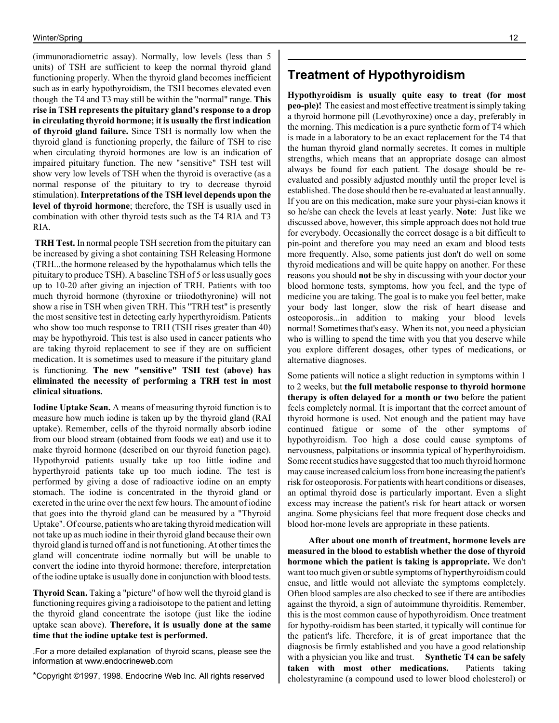(immunoradiometric assay). Normally, low levels (less than 5 units) of TSH are sufficient to keep the normal thyroid gland functioning properly. When the thyroid gland becomes inefficient such as in early hypothyroidism, the TSH becomes elevated even though the T4 and T3 may still be within the "normal" range. **This rise in TSH represents the pituitary gland's response to a drop in circulating thyroid hormone; it is usually the first indication of thyroid gland failure.** Since TSH is normally low when the thyroid gland is functioning properly, the failure of TSH to rise when circulating thyroid hormones are low is an indication of impaired pituitary function. The new "sensitive" TSH test will show very low levels of TSH when the thyroid is overactive (as a normal response of the pituitary to try to decrease thyroid stimulation). **Interpretations of the TSH level depends upon the level of thyroid hormone**; therefore, the TSH is usually used in combination with other thyroid tests such as the T4 RIA and T3 RIA.

**TRH Test.** In normal people TSH secretion from the pituitary can be increased by giving a shot containing TSH Releasing Hormone (TRH...the hormone released by the hypothalamus which tells the pituitary to produce TSH). A baseline TSH of 5 or less usually goes up to 10-20 after giving an injection of TRH. Patients with too much thyroid hormone (thyroxine or triiodothyronine) will not show a rise in TSH when given TRH. This "TRH test" is presently the most sensitive test in detecting early hyperthyroidism. Patients who show too much response to TRH (TSH rises greater than 40) may be hypothyroid. This test is also used in cancer patients who are taking thyroid replacement to see if they are on sufficient medication. It is sometimes used to measure if the pituitary gland is functioning. **The new "sensitive" TSH test (above) has eliminated the necessity of performing a TRH test in most clinical situations.**

**Iodine Uptake Scan.** A means of measuring thyroid function is to measure how much iodine is taken up by the thyroid gland (RAI uptake). Remember, cells of the thyroid normally absorb iodine from our blood stream (obtained from foods we eat) and use it to make thyroid hormone (described on our thyroid function page). Hypothyroid patients usually take up too little iodine and hyperthyroid patients take up too much iodine. The test is performed by giving a dose of radioactive iodine on an empty stomach. The iodine is concentrated in the thyroid gland or excreted in the urine over the next few hours. The amount of iodine that goes into the thyroid gland can be measured by a "Thyroid Uptake". Of course, patients who are taking thyroid medication will not take up as much iodine in their thyroid gland because their own thyroid gland is turned off and is not functioning. At other times the gland will concentrate iodine normally but will be unable to convert the iodine into thyroid hormone; therefore, interpretation of the iodine uptake is usually done in conjunction with blood tests.

**Thyroid Scan.** Taking a "picture" of how well the thyroid gland is functioning requires giving a radioisotope to the patient and letting the thyroid gland concentrate the isotope (just like the iodine uptake scan above). **Therefore, it is usually done at the same time that the iodine uptake test is performed.**

.For a more detailed explanation of thyroid scans, please see the information at www.endocrineweb.com

\*Copyright ©1997, 1998. Endocrine Web Inc. All rights reserved

### **Treatment of Hypothyroidism**

**Hypothyroidism is usually quite easy to treat (for most peo-ple)!** The easiest and most effective treatment is simply taking a thyroid hormone pill (Levothyroxine) once a day, preferably in the morning. This medication is a pure synthetic form of T4 which is made in a laboratory to be an exact replacement for the T4 that the human thyroid gland normally secretes. It comes in multiple strengths, which means that an appropriate dosage can almost always be found for each patient. The dosage should be reevaluated and possibly adjusted monthly until the proper level is established. The dose should then be re-evaluated at least annually. If you are on this medication, make sure your physi-cian knows it so he/she can check the levels at least yearly. **Note**: Just like we discussed above, however, this simple approach does not hold true for everybody. Occasionally the correct dosage is a bit difficult to pin-point and therefore you may need an exam and blood tests more frequently. Also, some patients just don't do well on some thyroid medications and will be quite happy on another. For these reasons you should **not** be shy in discussing with your doctor your blood hormone tests, symptoms, how you feel, and the type of medicine you are taking. The goal is to make you feel better, make your body last longer, slow the risk of heart disease and osteoporosis...in addition to making your blood levels normal! Sometimes that's easy. When its not, you need a physician who is willing to spend the time with you that you deserve while you explore different dosages, other types of medications, or alternative diagnoses.

Some patients will notice a slight reduction in symptoms within 1 to 2 weeks, but **the full metabolic response to thyroid hormone therapy is often delayed for a month or two** before the patient feels completely normal. It is important that the correct amount of thyroid hormone is used. Not enough and the patient may have continued fatigue or some of the other symptoms of hypothyroidism. Too high a dose could cause symptoms of nervousness, palpitations or insomnia typical of hyperthyroidism. Some recent studies have suggested that too much thyroid hormone may cause increased calcium loss from bone increasing the patient's risk for osteoporosis. For patients with heart conditions or diseases, an optimal thyroid dose is particularly important. Even a slight excess may increase the patient's risk for heart attack or worsen angina. Some physicians feel that more frequent dose checks and blood hor-mone levels are appropriate in these patients.

**After about one month of treatment, hormone levels are measured in the blood to establish whether the dose of thyroid hormone which the patient is taking is appropriate.** We don't want too much given or subtle symptoms of hyp**er**thyroidism could ensue, and little would not alleviate the symptoms completely. Often blood samples are also checked to see if there are antibodies against the thyroid, a sign of autoimmune thyroiditis. Remember, this is the most common cause of hypothyroidism. Once treatment for hypothy-roidism has been started, it typically will continue for the patient's life. Therefore, it is of great importance that the diagnosis be firmly established and you have a good relationship with a physician you like and trust. **Synthetic T4 can be safely taken with most other medications.** Patients taking cholestyramine (a compound used to lower blood cholesterol) or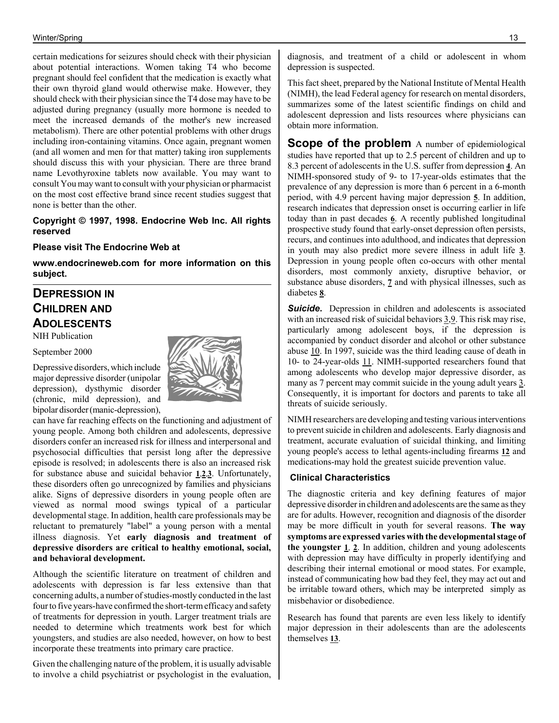certain medications for seizures should check with their physician about potential interactions. Women taking T4 who become pregnant should feel confident that the medication is exactly what their own thyroid gland would otherwise make. However, they should check with their physician since the T4 dose may have to be adjusted during pregnancy (usually more hormone is needed to meet the increased demands of the mother's new increased metabolism). There are other potential problems with other drugs including iron-containing vitamins. Once again, pregnant women (and all women and men for that matter) taking iron supplements should discuss this with your physician. There are three brand name Levothyroxine tablets now available. You may want to consult You may want to consult with your physician or pharmacist on the most cost effective brand since recent studies suggest that none is better than the other.

### **Copyright © 1997, 1998. Endocrine Web Inc. All rights reserved**

**Please visit The Endocrine Web at** 

**www.endocrineweb.com for more information on this subject.**

### **DEPRESSION IN CHILDREN AND ADOLESCENTS**  NIH Publication

September 2000

Depressive disorders, which include major depressive disorder (unipolar depression), dysthymic disorder (chronic, mild depression), and bipolar disorder (manic-depression),

can have far reaching effects on the functioning and adjustment of young people. Among both children and adolescents, depressive disorders confer an increased risk for illness and interpersonal and psychosocial difficulties that persist long after the depressive episode is resolved; in adolescents there is also an increased risk for substance abuse and suicidal behavior **1**,**2**,**3**. Unfortunately, these disorders often go unrecognized by families and physicians alike. Signs of depressive disorders in young people often are viewed as normal mood swings typical of a particular developmental stage. In addition, health care professionals may be reluctant to prematurely "label" a young person with a mental illness diagnosis. Yet **early diagnosis and treatment of**

**depressive disorders are critical to healthy emotional, social, and behavioral development.**  Although the scientific literature on treatment of children and adolescents with depression is far less extensive than that concerning adults, a number of studies-mostly conducted in the last four to five years-have confirmed the short-term efficacy and safety of treatments for depression in youth. Larger treatment trials are needed to determine which treatments work best for which youngsters, and studies are also needed, however, on how to best

Given the challenging nature of the problem, it is usually advisable to involve a child psychiatrist or psychologist in the evaluation,

incorporate these treatments into primary care practice.

diagnosis, and treatment of a child or adolescent in whom depression is suspected.

This fact sheet, prepared by the National Institute of Mental Health (NIMH), the lead Federal agency for research on mental disorders, summarizes some of the latest scientific findings on child and adolescent depression and lists resources where physicians can obtain more information.

**Scope of the problem** A number of epidemiological studies have reported that up to 2.5 percent of children and up to 8.3 percent of adolescents in the U.S. suffer from depression **4**. An NIMH-sponsored study of 9- to 17-year-olds estimates that the prevalence of any depression is more than 6 percent in a 6-month period, with 4.9 percent having major depression **5**. In addition, research indicates that depression onset is occurring earlier in life today than in past decades **6**. A recently published longitudinal prospective study found that early-onset depression often persists, recurs, and continues into adulthood, and indicates that depression in youth may also predict more severe illness in adult life **3**. Depression in young people often co-occurs with other mental disorders, most commonly anxiety, disruptive behavior, or substance abuse disorders, **7** and with physical illnesses, such as diabetes **8**.

**Suicide.** Depression in children and adolescents is associated with an increased risk of suicidal behaviors 3,9. This risk may rise, particularly among adolescent boys, if the depression is accompanied by conduct disorder and alcohol or other substance abuse 10. In 1997, suicide was the third leading cause of death in 10- to 24-year-olds 11. NIMH-supported researchers found that among adolescents who develop major depressive disorder, as many as 7 percent may commit suicide in the young adult years 3. Consequently, it is important for doctors and parents to take all threats of suicide seriously.

NIMH researchers are developing and testing various interventions to prevent suicide in children and adolescents. Early diagnosis and treatment, accurate evaluation of suicidal thinking, and limiting young people's access to lethal agents-including firearms **12** and medications-may hold the greatest suicide prevention value.

### **Clinical Characteristics**

The diagnostic criteria and key defining features of major depressive disorder in children and adolescents are the same as they are for adults. However, recognition and diagnosis of the disorder may be more difficult in youth for several reasons. **The way symptoms are expressed varies with the developmental stage of the youngster 1**, **2**. In addition, children and young adolescents with depression may have difficulty in properly identifying and describing their internal emotional or mood states. For example, instead of communicating how bad they feel, they may act out and be irritable toward others, which may be interpreted simply as misbehavior or disobedience.

Research has found that parents are even less likely to identify major depression in their adolescents than are the adolescents themselves **13**.

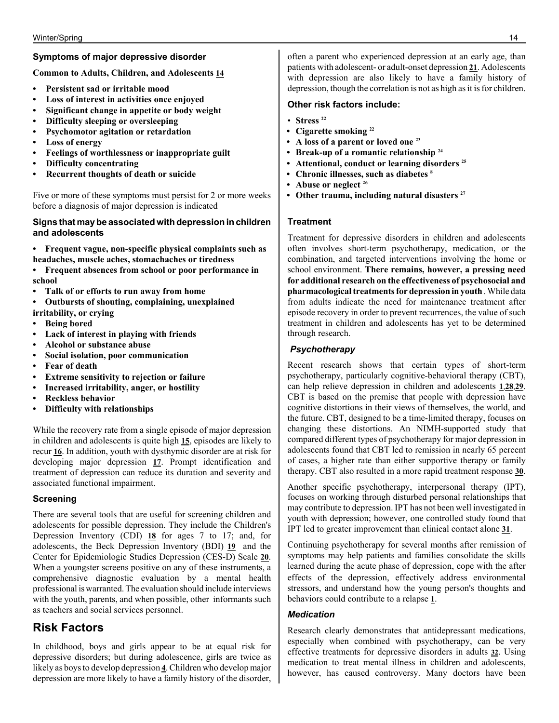### **Symptoms of major depressive disorder**

**Common to Adults, Children, and Adolescents 14**

- **Persistent sad or irritable mood**
- **Loss of interest in activities once enjoyed**
- **Significant change in appetite or body weight**
- **Difficulty sleeping or oversleeping**
- **Psychomotor agitation or retardation**
- **Loss of energy**
- **Feelings of worthlessness or inappropriate guilt**
- **Difficulty concentrating**
- **Recurrent thoughts of death or suicide**

Five or more of these symptoms must persist for 2 or more weeks before a diagnosis of major depression is indicated

### **Signs that may be associated with depression in children and adolescents**

- **Frequent vague, non-specific physical complaints such as headaches, muscle aches, stomachaches or tiredness**
- **Frequent absences from school or poor performance in school**
- **Talk of or efforts to run away from home**
- **Outbursts of shouting, complaining, unexplained**
- **irritability, or crying • Being bored**
- **Lack of interest in playing with friends**
- **Alcohol or substance abuse**
- **Social isolation, poor communication**
- **Fear of death**
- **Extreme sensitivity to rejection or failure**
- **Increased irritability, anger, or hostility**
- **Reckless behavior**
- **Difficulty with relationships**

While the recovery rate from a single episode of major depression in children and adolescents is quite high **15**, episodes are likely to recur **16**. In addition, youth with dysthymic disorder are at risk for developing major depression **17**. Prompt identification and treatment of depression can reduce its duration and severity and associated functional impairment.

### **Screening**

There are several tools that are useful for screening children and adolescents for possible depression. They include the Children's Depression Inventory (CDI) **18** for ages 7 to 17; and, for adolescents, the Beck Depression Inventory (BDI) **19** and the Center for Epidemiologic Studies Depression (CES-D) Scale **20**. When a youngster screens positive on any of these instruments, a comprehensive diagnostic evaluation by a mental health professional is warranted. The evaluation should include interviews with the youth, parents, and when possible, other informants such as teachers and social services personnel.

### **Risk Factors**

In childhood, boys and girls appear to be at equal risk for depressive disorders; but during adolescence, girls are twice as likely as boys to develop depression **4**. Children who develop major depression are more likely to have a family history of the disorder, often a parent who experienced depression at an early age, than patients with adolescent- or adult-onset depression **21**. Adolescents with depression are also likely to have a family history of depression, though the correlation is not as high as it is for children.

### **Other risk factors include:**

- **Stress 22**
- **Cigarette smoking 22**
- **A loss of a parent or loved one 23**
- **Break-up of a romantic relationship 24**
- Attentional, conduct or learning disorders <sup>25</sup>
- **Chronic illnesses, such as diabetes 8**
- **Abuse or neglect 26**
- **Other trauma, including natural disasters 27**

### **Treatment**

Treatment for depressive disorders in children and adolescents often involves short-term psychotherapy, medication, or the combination, and targeted interventions involving the home or school environment. **There remains, however, a pressing need for additional research on the effectiveness of psychosocial and pharmacological treatments for depression in youth** . While data from adults indicate the need for maintenance treatment after episode recovery in order to prevent recurrences, the value of such treatment in children and adolescents has yet to be determined through research.

### *Psychotherapy*

Recent research shows that certain types of short-term psychotherapy, particularly cognitive-behavioral therapy (CBT), can help relieve depression in children and adolescents **1**,**28**,**29**. CBT is based on the premise that people with depression have cognitive distortions in their views of themselves, the world, and the future. CBT, designed to be a time-limited therapy, focuses on changing these distortions. An NIMH-supported study that compared different types of psychotherapy for major depression in adolescents found that CBT led to remission in nearly 65 percent of cases, a higher rate than either supportive therapy or family therapy. CBT also resulted in a more rapid treatment response **30**.

Another specific psychotherapy, interpersonal therapy (IPT), focuses on working through disturbed personal relationships that may contribute to depression. IPT has not been well investigated in youth with depression; however, one controlled study found that IPT led to greater improvement than clinical contact alone **31**.

Continuing psychotherapy for several months after remission of symptoms may help patients and families consolidate the skills learned during the acute phase of depression, cope with the after effects of the depression, effectively address environmental stressors, and understand how the young person's thoughts and behaviors could contribute to a relapse **1**.

### *Medication*

Research clearly demonstrates that antidepressant medications, especially when combined with psychotherapy, can be very effective treatments for depressive disorders in adults **32**. Using medication to treat mental illness in children and adolescents, however, has caused controversy. Many doctors have been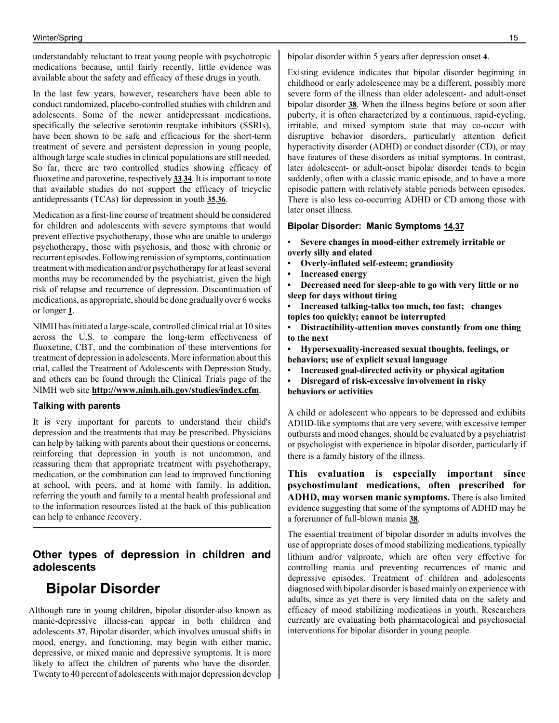understandably reluctant to treat young people with psychotropic medications because, until fairly recently, little evidence was available about the safety and efficacy of these drugs in youth.

In the last few years, however, researchers have been able to conduct randomized, placebo-controlled studies with children and adolescents. Some of the newer antidepressant medications, specifically the selective serotonin reuptake inhibitors (SSRIs), have been shown to be safe and efficacious for the short-term treatment of severe and persistent depression in young people, although large scale studies in clinical populations are still needed. So far, there are two controlled studies showing efficacy of fluoxetine and paroxetine, respectively **33**,**34**. It is important to note that available studies do not support the efficacy of tricyclic antidepressants (TCAs) for depression in youth **35**,**36**.

Medication as a first-line course of treatment should be considered for children and adolescents with severe symptoms that would prevent effective psychotherapy, those who are unable to undergo psychotherapy, those with psychosis, and those with chronic or recurrent episodes. Following remission of symptoms, continuation treatment with medication and/or psychotherapy for at least several months may be recommended by the psychiatrist, given the high risk of relapse and recurrence of depression. Discontinuation of medications, as appropriate, should be done gradually over 6 weeks or longer **1**.

NIMH has initiated a large-scale, controlled clinical trial at 10 sites across the U.S. to compare the long-term effectiveness of fluoxetine, CBT, and the combination of these interventions for treatment of depression in adolescents. More information about this trial, called the Treatment of Adolescents with Depression Study, and others can be found through the Clinical Trials page of the NIMH web site **http://www.nimh.nih.gov/studies/index.cfm**.

### **Talking with parents**

It is very important for parents to understand their child's depression and the treatments that may be prescribed. Physicians can help by talking with parents about their questions or concerns, reinforcing that depression in youth is not uncommon, and reassuring them that appropriate treatment with psychotherapy, medication, or the combination can lead to improved functioning at school, with peers, and at home with family. In addition, referring the youth and family to a mental health professional and to the information resources listed at the back of this publication can help to enhance recovery.

### **Other types of depression in children and adolescents**

### **Bipolar Disorder**

Although rare in young children, bipolar disorder-also known as manic-depressive illness-can appear in both children and adolescents **37**. Bipolar disorder, which involves unusual shifts in mood, energy, and functioning, may begin with either manic, depressive, or mixed manic and depressive symptoms. It is more likely to affect the children of parents who have the disorder. Twenty to 40 percent of adolescents with major depression develop bipolar disorder within 5 years after depression onset **4**.

Existing evidence indicates that bipolar disorder beginning in childhood or early adolescence may be a different, possibly more severe form of the illness than older adolescent- and adult-onset bipolar disorder **38**. When the illness begins before or soon after puberty, it is often characterized by a continuous, rapid-cycling, irritable, and mixed symptom state that may co-occur with disruptive behavior disorders, particularly attention deficit hyperactivity disorder (ADHD) or conduct disorder (CD), or may have features of these disorders as initial symptoms. In contrast, later adolescent- or adult-onset bipolar disorder tends to begin suddenly, often with a classic manic episode, and to have a more episodic pattern with relatively stable periods between episodes. There is also less co-occurring ADHD or CD among those with later onset illness.

### **Bipolar Disorder: Manic Symptoms 14,37**

• **Severe changes in mood-either extremely irritable or overly silly and elated** 

- **Overly-inflated self-esteem; grandiosity**
- **Increased energy**
- **Decreased need for sleep-able to go with very little or no sleep for days without tiring**
- **Increased talking-talks too much, too fast; changes topics too quickly; cannot be interrupted**

**• Distractibility-attention moves constantly from one thing to the next** 

**• Hypersexuality-increased sexual thoughts, feelings, or behaviors; use of explicit sexual language** 

- **Increased goal-directed activity or physical agitation**
- **Disregard of risk-excessive involvement in risky behaviors or activities**

A child or adolescent who appears to be depressed and exhibits ADHD-like symptoms that are very severe, with excessive temper outbursts and mood changes, should be evaluated by a psychiatrist or psychologist with experience in bipolar disorder, particularly if there is a family history of the illness.

**This evaluation is especially important since psychostimulant medications, often prescribed for ADHD, may worsen manic symptoms.** There is also limited evidence suggesting that some of the symptoms of ADHD may be a forerunner of full-blown mania **38**.

The essential treatment of bipolar disorder in adults involves the use of appropriate doses of mood stabilizing medications, typically lithium and/or valproate, which are often very effective for controlling mania and preventing recurrences of manic and depressive episodes. Treatment of children and adolescents diagnosed with bipolar disorder is based mainly on experience with adults, since as yet there is very limited data on the safety and efficacy of mood stabilizing medications in youth. Researchers currently are evaluating both pharmacological and psychosocial interventions for bipolar disorder in young people.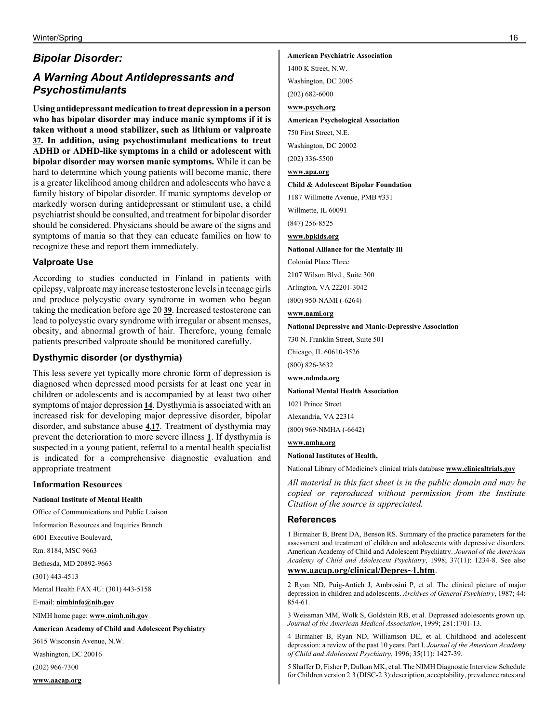### *Bipolar Disorder:*

### *A Warning About Antidepressants and Psychostimulants*

**Using antidepressant medication to treat depression in a person who has bipolar disorder may induce manic symptoms if it is taken without a mood stabilizer, such as lithium or valproate 37. In addition, using psychostimulant medications to treat ADHD or ADHD-like symptoms in a child or adolescent with bipolar disorder may worsen manic symptoms.** While it can be hard to determine which young patients will become manic, there is a greater likelihood among children and adolescents who have a family history of bipolar disorder. If manic symptoms develop or markedly worsen during antidepressant or stimulant use, a child psychiatrist should be consulted, and treatment for bipolar disorder should be considered. Physicians should be aware of the signs and symptoms of mania so that they can educate families on how to recognize these and report them immediately.

### **Valproate Use**

According to studies conducted in Finland in patients with epilepsy, valproate may increase testosterone levels in teenage girls and produce polycystic ovary syndrome in women who began taking the medication before age 20 **39**. Increased testosterone can lead to polycystic ovary syndrome with irregular or absent menses, obesity, and abnormal growth of hair. Therefore, young female patients prescribed valproate should be monitored carefully.

### **Dysthymic disorder (or dysthymia)**

This less severe yet typically more chronic form of depression is diagnosed when depressed mood persists for at least one year in children or adolescents and is accompanied by at least two other symptoms of major depression **14**. Dysthymia is associated with an increased risk for developing major depressive disorder, bipolar disorder, and substance abuse **4**,**17**. Treatment of dysthymia may prevent the deterioration to more severe illness **1**. If dysthymia is suspected in a young patient, referral to a mental health specialist is indicated for a comprehensive diagnostic evaluation and appropriate treatment

#### **Information Resources**

#### **National Institute of Mental Health**

Office of Communications and Public Liaison

Information Resources and Inquiries Branch

6001 Executive Boulevard,

Rm. 8184, MSC 9663

Bethesda, MD 20892-9663

(301) 443-4513

Mental Health FAX 4U: (301) 443-5158

E-mail: **nimhinfo@nih.gov**

NIMH home page: **www.nimh.nih.gov**

**American Academy of Child and Adolescent Psychiatry**

3615 Wisconsin Avenue, N.W.

Washington, DC 20016

(202) 966-7300

**www.aacap.org**

#### **American Psychiatric Association**

1400 K Street, N.W. Washington, DC 2005 (202) 682-6000

#### **www.psych.org**

#### **American Psychological Association**

750 First Street, N.E. Washington, DC 20002 (202) 336-5500

#### **www.apa.org**

#### **Child & Adolescent Bipolar Foundation**

1187 Willmette Avenue, PMB #331 Willmette, IL 60091

(847) 256-8525

#### **www.bpkids.org**

**National Alliance for the Mentally Ill**

Colonial Place Three

2107 Wilson Blvd., Suite 300

Arlington, VA 22201-3042 (800) 950-NAMI (-6264)

### **www.nami.org**

**National Depressive and Manic-Depressive Association**

730 N. Franklin Street, Suite 501

Chicago, IL 60610-3526

(800) 826-3632

#### **www.ndmda.org**

**National Mental Health Association**

1021 Prince Street Alexandria, VA 22314 (800) 969-NMHA (-6642)

#### **www.nmha.org**

**National Institutes of Health,** 

National Library of Medicine's clinical trials database **www.clinicaltrials.gov**

*All material in this fact sheet is in the public domain and may be copied or reproduced without permission from the Institute Citation of the source is appreciated.* 

#### **References**

1 Birmaher B, Brent DA, Benson RS. Summary of the practice parameters for the assessment and treatment of children and adolescents with depressive disorders. American Academy of Child and Adolescent Psychiatry. *Journal of the American Academy of Child and Adolescent Psychiatry*, 1998; 37(11): 1234-8. See also **www.aacap.org/clinical/Depres~1.htm**.

2 Ryan ND, Puig-Antich J, Ambrosini P, et al. The clinical picture of major depression in children and adolescents. *Archives of General Psychiatry*, 1987; 44: 854-61.

3 Weissman MM, Wolk S, Goldstein RB, et al. Depressed adolescents grown up. *Journal of the American Medical Association*, 1999; 281:1701-13.

4 Birmaher B, Ryan ND, Williamson DE, et al. Childhood and adolescent depression: a review of the past 10 years. Part I. *Journal of the American Academy of Child and Adolescent Psychiatry*, 1996; 35(11): 1427-39.

5 Shaffer D, Fisher P, Dulkan MK, et al. The NIMH Diagnostic Interview Schedule for Children version 2.3 (DISC-2.3):description, acceptability, prevalence rates and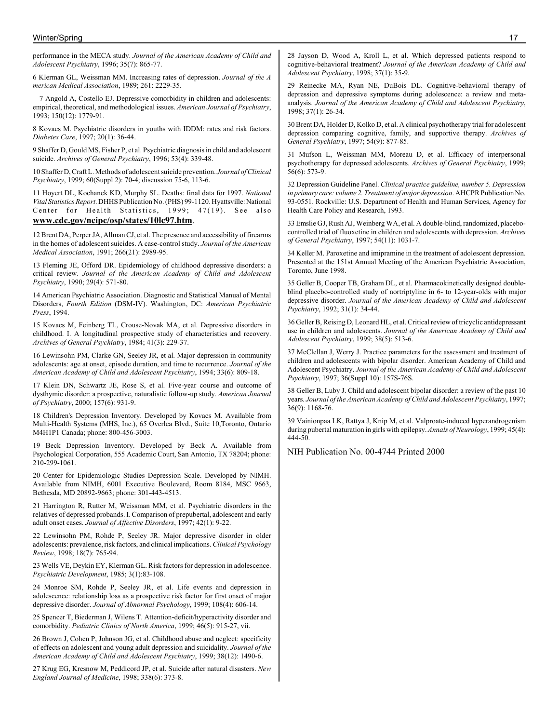performance in the MECA study. *Journal of the American Academy of Child and Adolescent Psychiatry*, 1996; 35(7): 865-77.

6 Klerman GL, Weissman MM. Increasing rates of depression. *Journal of the A merican Medical Association*, 1989; 261: 2229-35.

 7 Angold A, Costello EJ. Depressive comorbidity in children and adolescents: empirical, theoretical, and methodological issues. *American Journal of Psychiatry*, 1993; 150(12): 1779-91.

8 Kovacs M. Psychiatric disorders in youths with IDDM: rates and risk factors. *Diabetes Care*, 1997; 20(1): 36-44.

9 Shaffer D, Gould MS, Fisher P, et al. Psychiatric diagnosis in child and adolescent suicide. *Archives of General Psychiatry*, 1996; 53(4): 339-48.

10 Shaffer D, Craft L. Methods of adolescent suicide prevention. *Journal of Clinical Psychiatry*, 1999; 60(Suppl 2): 70-4; discussion 75-6, 113-6.

11 Hoyert DL, Kochanek KD, Murphy SL. Deaths: final data for 1997. *National Vital Statistics Report*. DHHS Publication No. (PHS) 99-1120. Hyattsville: National Center for Health Statistics, 1999; 47(19). See also **www.cdc.gov/ncipc/osp/states/10lc97.htm**.

12 Brent DA, Perper JA, Allman CJ, et al. The presence and accessibility of firearms in the homes of adolescent suicides. A case-control study. *Journal of the American Medical Association*, 1991; 266(21): 2989-95.

13 Fleming JE, Offord DR. Epidemiology of childhood depressive disorders: a critical review. *Journal of the American Academy of Child and Adolescent Psychiatry*, 1990; 29(4): 571-80.

14 American Psychiatric Association. Diagnostic and Statistical Manual of Mental Disorders, *Fourth Edition* (DSM-IV). Washington, DC: *American Psychiatric Press*, 1994.

15 Kovacs M, Feinberg TL, Crouse-Novak MA, et al. Depressive disorders in childhood. I. A longitudinal prospective study of characteristics and recovery. *Archives of General Psychiatry*, 1984; 41(3): 229-37.

16 Lewinsohn PM, Clarke GN, Seeley JR, et al. Major depression in community adolescents: age at onset, episode duration, and time to recurrence. *Journal of the American Academy of Child and Adolescent Psychiatry*, 1994; 33(6): 809-18.

17 Klein DN, Schwartz JE, Rose S, et al. Five-year course and outcome of dysthymic disorder: a prospective, naturalistic follow-up study. *American Journal of Psychiatry*, 2000; 157(6): 931-9.

18 Children's Depression Inventory. Developed by Kovacs M. Available from Multi-Health Systems (MHS, Inc.), 65 Overlea Blvd., Suite 10,Toronto, Ontario M4H1P1 Canada; phone: 800-456-3003.

19 Beck Depression Inventory. Developed by Beck A. Available from Psychological Corporation, 555 Academic Court, San Antonio, TX 78204; phone: 210-299-1061.

20 Center for Epidemiologic Studies Depression Scale. Developed by NIMH. Available from NIMH, 6001 Executive Boulevard, Room 8184, MSC 9663, Bethesda, MD 20892-9663; phone: 301-443-4513.

21 Harrington R, Rutter M, Weissman MM, et al. Psychiatric disorders in the relatives of depressed probands. I. Comparison of prepubertal, adolescent and early adult onset cases. *Journal of Affective Disorders*, 1997; 42(1): 9-22.

22 Lewinsohn PM, Rohde P, Seeley JR. Major depressive disorder in older adolescents: prevalence, risk factors, and clinical implications. *Clinical Psychology Review*, 1998; 18(7): 765-94.

23 Wells VE, Deykin EY, Klerman GL. Risk factors for depression in adolescence. *Psychiatric Development*, 1985; 3(1):83-108.

24 Monroe SM, Rohde P, Seeley JR, et al. Life events and depression in adolescence: relationship loss as a prospective risk factor for first onset of major depressive disorder. *Journal of Abnormal Psychology*, 1999; 108(4): 606-14.

25 Spencer T, Biederman J, Wilens T. Attention-deficit/hyperactivity disorder and comorbidity. *Pediatric Clinics of North America*, 1999; 46(5): 915-27, vii.

26 Brown J, Cohen P, Johnson JG, et al. Childhood abuse and neglect: specificity of effects on adolescent and young adult depression and suicidality. *Journal of the American Academy of Child and Adolescent Psychiatry*, 1999; 38(12): 1490-6.

27 Krug EG, Kresnow M, Peddicord JP, et al. Suicide after natural disasters. *New England Journal of Medicine*, 1998; 338(6): 373-8.

28 Jayson D, Wood A, Kroll L, et al. Which depressed patients respond to cognitive-behavioral treatment? *Journal of the American Academy of Child and Adolescent Psychiatry*, 1998; 37(1): 35-9.

29 Reinecke MA, Ryan NE, DuBois DL. Cognitive-behavioral therapy of depression and depressive symptoms during adolescence: a review and metaanalysis. *Journal of the American Academy of Child and Adolescent Psychiatry*, 1998; 37(1): 26-34.

30 Brent DA, Holder D, Kolko D, et al. A clinical psychotherapy trial for adolescent depression comparing cognitive, family, and supportive therapy. *Archives of General Psychiatry*, 1997; 54(9): 877-85.

31 Mufson L, Weissman MM, Moreau D, et al. Efficacy of interpersonal psychotherapy for depressed adolescents. *Archives of General Psychiatry*, 1999; 56(6): 573-9.

32 Depression Guideline Panel. *Clinical practice guideline, number 5. Depression in primary care: volume 2. Treatment of major depression*. AHCPR Publication No. 93-0551. Rockville: U.S. Department of Health and Human Services, Agency for Health Care Policy and Research, 1993.

33 Emslie GJ, Rush AJ, Weinberg WA, et al. A double-blind, randomized, placebocontrolled trial of fluoxetine in children and adolescents with depression. *Archives of General Psychiatry*, 1997; 54(11): 1031-7.

34 Keller M. Paroxetine and imipramine in the treatment of adolescent depression. Presented at the 151st Annual Meeting of the American Psychiatric Association, Toronto, June 1998.

35 Geller B, Cooper TB, Graham DL, et al. Pharmacokinetically designed doubleblind placebo-controlled study of nortriptyline in 6- to 12-year-olds with major depressive disorder. *Journal of the American Academy of Child and Adolescent Psychiatry*, 1992; 31(1): 34-44.

36 Geller B, Reising D, Leonard HL, et al. Critical review of tricyclic antidepressant use in children and adolescents. *Journal of the American Academy of Child and Adolescent Psychiatry*, 1999; 38(5): 513-6.

37 McClellan J, Werry J. Practice parameters for the assessment and treatment of children and adolescents with bipolar disorder. American Academy of Child and Adolescent Psychiatry. *Journal of the American Academy of Child and Adolescent Psychiatry*, 1997; 36(Suppl 10): 157S-76S.

38 Geller B, Luby J. Child and adolescent bipolar disorder: a review of the past 10 years. *Journal of the American Academy of Child and Adolescent Psychiatry*, 1997; 36(9): 1168-76.

39 Vainionpaa LK, Rattya J, Knip M, et al. Valproate-induced hyperandrogenism during pubertal maturation in girls with epilepsy. *Annals of Neurology*, 1999; 45(4): 444-50.

NIH Publication No. 00-4744 Printed 2000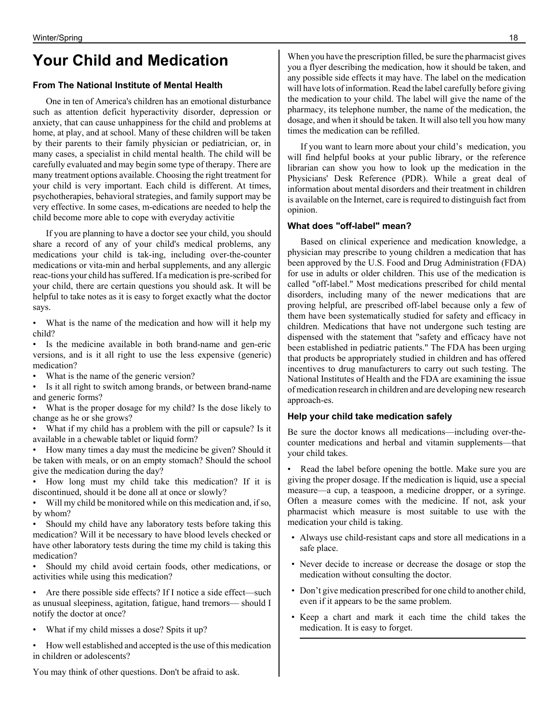# **Your Child and Medication**

### **From The National Institute of Mental Health**

One in ten of America's children has an emotional disturbance such as attention deficit hyperactivity disorder, depression or anxiety, that can cause unhappiness for the child and problems at home, at play, and at school. Many of these children will be taken by their parents to their family physician or pediatrician, or, in many cases, a specialist in child mental health. The child will be carefully evaluated and may begin some type of therapy. There are many treatment options available. Choosing the right treatment for your child is very important. Each child is different. At times, psychotherapies, behavioral strategies, and family support may be very effective. In some cases, m-edications are needed to help the child become more able to cope with everyday activitie

 If you are planning to have a doctor see your child, you should share a record of any of your child's medical problems, any medications your child is tak-ing, including over-the-counter medications or vita-min and herbal supplements, and any allergic reac-tions your child has suffered. If a medication is pre-scribed for your child, there are certain questions you should ask. It will be helpful to take notes as it is easy to forget exactly what the doctor says.

• What is the name of the medication and how will it help my child?

Is the medicine available in both brand-name and gen-eric versions, and is it all right to use the less expensive (generic) medication?

What is the name of the generic version?

Is it all right to switch among brands, or between brand-name and generic forms?

What is the proper dosage for my child? Is the dose likely to change as he or she grows?

What if my child has a problem with the pill or capsule? Is it available in a chewable tablet or liquid form?

• How many times a day must the medicine be given? Should it be taken with meals, or on an empty stomach? Should the school give the medication during the day?

• How long must my child take this medication? If it is discontinued, should it be done all at once or slowly?

• Will my child be monitored while on this medication and, if so, by whom?

Should my child have any laboratory tests before taking this medication? Will it be necessary to have blood levels checked or have other laboratory tests during the time my child is taking this medication?

• Should my child avoid certain foods, other medications, or activities while using this medication?

Are there possible side effects? If I notice a side effect—such as unusual sleepiness, agitation, fatigue, hand tremors— should I notify the doctor at once?

• What if my child misses a dose? Spits it up?

• How well established and accepted is the use of this medication in children or adolescents?

When you have the prescription filled, be sure the pharmacist gives you a flyer describing the medication, how it should be taken, and any possible side effects it may have. The label on the medication will have lots of information. Read the label carefully before giving the medication to your child. The label will give the name of the pharmacy, its telephone number, the name of the medication, the dosage, and when it should be taken. It will also tell you how many times the medication can be refilled.

If you want to learn more about your child's medication, you will find helpful books at your public library, or the reference librarian can show you how to look up the medication in the Physicians' Desk Reference (PDR). While a great deal of information about mental disorders and their treatment in children is available on the Internet, care is required to distinguish fact from opinion.

### **What does "off-label" mean?**

Based on clinical experience and medication knowledge, a physician may prescribe to young children a medication that has been approved by the U.S. Food and Drug Administration (FDA) for use in adults or older children. This use of the medication is called "off-label." Most medications prescribed for child mental disorders, including many of the newer medications that are proving helpful, are prescribed off-label because only a few of them have been systematically studied for safety and efficacy in children. Medications that have not undergone such testing are dispensed with the statement that "safety and efficacy have not been established in pediatric patients." The FDA has been urging that products be appropriately studied in children and has offered incentives to drug manufacturers to carry out such testing. The National Institutes of Health and the FDA are examining the issue of medication research in children and are developing new research approach-es.

### **Help your child take medication safely**

Be sure the doctor knows all medications—including over-thecounter medications and herbal and vitamin supplements—that your child takes.

Read the label before opening the bottle. Make sure you are giving the proper dosage. If the medication is liquid, use a special measure—a cup, a teaspoon, a medicine dropper, or a syringe. Often a measure comes with the medicine. If not, ask your pharmacist which measure is most suitable to use with the medication your child is taking.

- Always use child-resistant caps and store all medications in a safe place.
- Never decide to increase or decrease the dosage or stop the medication without consulting the doctor.
- Don't give medication prescribed for one child to another child, even if it appears to be the same problem.
- Keep a chart and mark it each time the child takes the medication. It is easy to forget.

You may think of other questions. Don't be afraid to ask.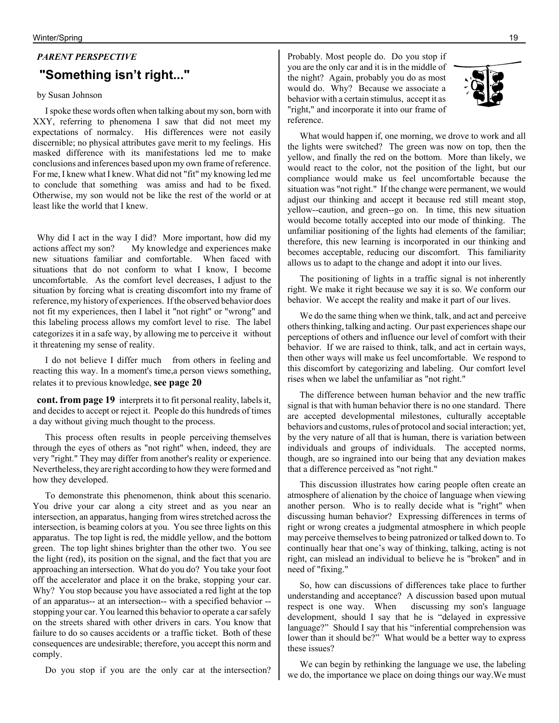### *PARENT PERSPECTIVE*

### **"Something isn't right..."**

### by Susan Johnson

I spoke these words often when talking about my son, born with XXY, referring to phenomena I saw that did not meet my expectations of normalcy. His differences were not easily discernible; no physical attributes gave merit to my feelings. His masked difference with its manifestations led me to make conclusions and inferences based upon my own frame of reference. For me, I knew what I knew. What did not "fit" my knowing led me to conclude that something was amiss and had to be fixed. Otherwise, my son would not be like the rest of the world or at least like the world that I knew.

Why did I act in the way I did? More important, how did my actions affect my son? My knowledge and experiences make new situations familiar and comfortable. When faced with situations that do not conform to what I know, I become uncomfortable. As the comfort level decreases, I adjust to the situation by forcing what is creating discomfort into my frame of reference, my history of experiences. If the observed behavior does not fit my experiences, then I label it "not right" or "wrong" and this labeling process allows my comfort level to rise. The label categorizes it in a safe way, by allowing me to perceive it without it threatening my sense of reality.

I do not believe I differ much from others in feeling and reacting this way. In a moment's time,a person views something, relates it to previous knowledge, **see page 20** 

**cont. from page 19** interprets it to fit personal reality, labels it, and decides to accept or reject it. People do this hundreds of times a day without giving much thought to the process.

 This process often results in people perceiving themselves through the eyes of others as "not right" when, indeed, they are very "right." They may differ from another's reality or experience. Nevertheless, they are right according to how they were formed and how they developed.

 To demonstrate this phenomenon, think about this scenario. You drive your car along a city street and as you near an intersection, an apparatus, hanging from wires stretched across the intersection, is beaming colors at you. You see three lights on this apparatus. The top light is red, the middle yellow, and the bottom green. The top light shines brighter than the other two. You see the light (red), its position on the signal, and the fact that you are approaching an intersection. What do you do? You take your foot off the accelerator and place it on the brake, stopping your car. Why? You stop because you have associated a red light at the top of an apparatus-- at an intersection-- with a specified behavior - stopping your car. You learned this behavior to operate a car safely on the streets shared with other drivers in cars. You know that failure to do so causes accidents or a traffic ticket. Both of these consequences are undesirable; therefore, you accept this norm and comply.

Do you stop if you are the only car at the intersection?

Probably. Most people do. Do you stop if you are the only car and it is in the middle of the night? Again, probably you do as most would do. Why? Because we associate a behavior with a certain stimulus, accept it as "right," and incorporate it into our frame of reference.



 What would happen if, one morning, we drove to work and all the lights were switched? The green was now on top, then the yellow, and finally the red on the bottom. More than likely, we would react to the color, not the position of the light, but our compliance would make us feel uncomfortable because the situation was "not right." If the change were permanent, we would adjust our thinking and accept it because red still meant stop, yellow--caution, and green--go on. In time, this new situation would become totally accepted into our mode of thinking. The unfamiliar positioning of the lights had elements of the familiar; therefore, this new learning is incorporated in our thinking and becomes acceptable, reducing our discomfort. This familiarity allows us to adapt to the change and adopt it into our lives.

 The positioning of lights in a traffic signal is not inherently right. We make it right because we say it is so. We conform our behavior. We accept the reality and make it part of our lives.

 We do the same thing when we think, talk, and act and perceive others thinking, talking and acting. Our past experiences shape our perceptions of others and influence our level of comfort with their behavior. If we are raised to think, talk, and act in certain ways, then other ways will make us feel uncomfortable. We respond to this discomfort by categorizing and labeling. Our comfort level rises when we label the unfamiliar as "not right."

 The difference between human behavior and the new traffic signal is that with human behavior there is no one standard. There are accepted developmental milestones, culturally acceptable behaviors and customs, rules of protocol and social interaction; yet, by the very nature of all that is human, there is variation between individuals and groups of individuals. The accepted norms, though, are so ingrained into our being that any deviation makes that a difference perceived as "not right."

 This discussion illustrates how caring people often create an atmosphere of alienation by the choice of language when viewing another person. Who is to really decide what is "right" when discussing human behavior? Expressing differences in terms of right or wrong creates a judgmental atmosphere in which people may perceive themselves to being patronized or talked down to. To continually hear that one's way of thinking, talking, acting is not right, can mislead an individual to believe he is "broken" and in need of "fixing."

 So, how can discussions of differences take place to further understanding and acceptance? A discussion based upon mutual respect is one way. When discussing my son's language development, should I say that he is "delayed in expressive language?" Should I say that his "inferential comprehension was lower than it should be?" What would be a better way to express these issues?

 We can begin by rethinking the language we use, the labeling we do, the importance we place on doing things our way.We must